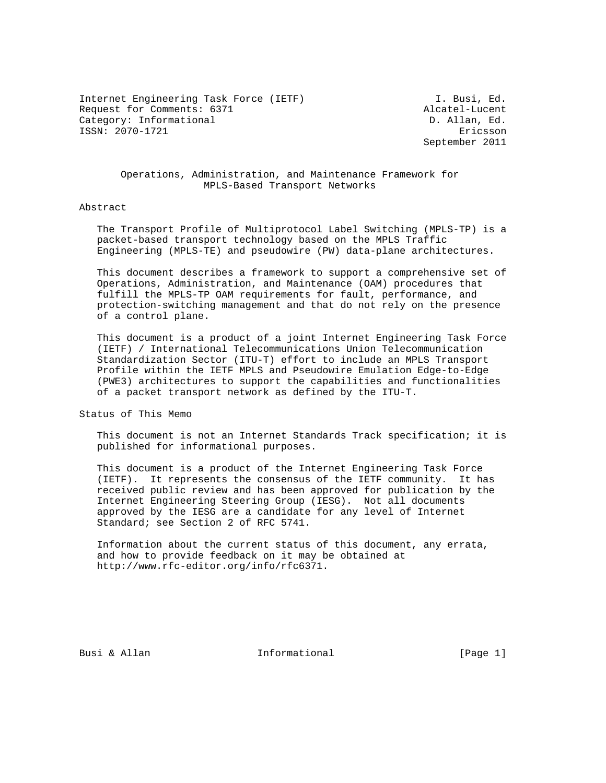Internet Engineering Task Force (IETF) I. Busi, Ed. Request for Comments: 6371 Alcatel-Lucent Category: Informational development of the D. Allan, Ed. ISSN: 2070-1721 Ericsson

September 2011

## Operations, Administration, and Maintenance Framework for MPLS-Based Transport Networks

#### Abstract

 The Transport Profile of Multiprotocol Label Switching (MPLS-TP) is a packet-based transport technology based on the MPLS Traffic Engineering (MPLS-TE) and pseudowire (PW) data-plane architectures.

 This document describes a framework to support a comprehensive set of Operations, Administration, and Maintenance (OAM) procedures that fulfill the MPLS-TP OAM requirements for fault, performance, and protection-switching management and that do not rely on the presence of a control plane.

 This document is a product of a joint Internet Engineering Task Force (IETF) / International Telecommunications Union Telecommunication Standardization Sector (ITU-T) effort to include an MPLS Transport Profile within the IETF MPLS and Pseudowire Emulation Edge-to-Edge (PWE3) architectures to support the capabilities and functionalities of a packet transport network as defined by the ITU-T.

Status of This Memo

 This document is not an Internet Standards Track specification; it is published for informational purposes.

 This document is a product of the Internet Engineering Task Force (IETF). It represents the consensus of the IETF community. It has received public review and has been approved for publication by the Internet Engineering Steering Group (IESG). Not all documents approved by the IESG are a candidate for any level of Internet Standard; see Section 2 of RFC 5741.

 Information about the current status of this document, any errata, and how to provide feedback on it may be obtained at http://www.rfc-editor.org/info/rfc6371.

Busi & Allan  $I_n$  Informational [Page 1]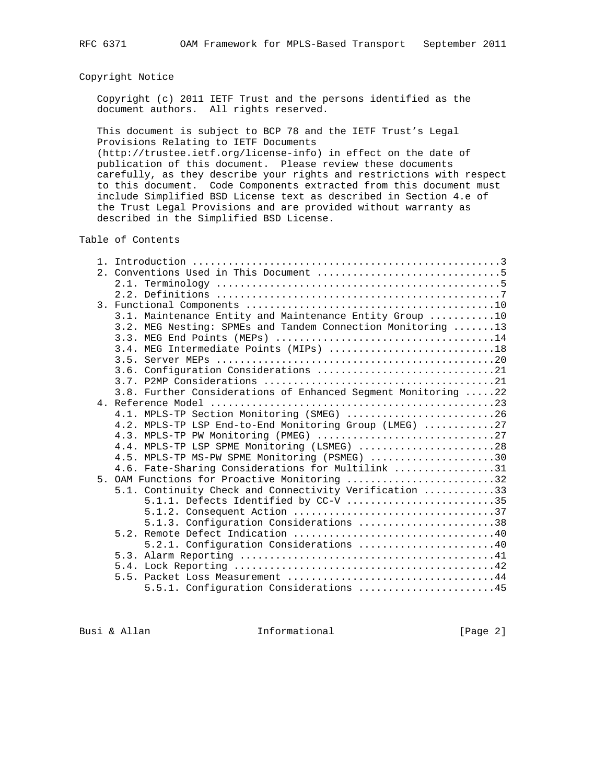### Copyright Notice

 Copyright (c) 2011 IETF Trust and the persons identified as the document authors. All rights reserved.

 This document is subject to BCP 78 and the IETF Trust's Legal Provisions Relating to IETF Documents

 (http://trustee.ietf.org/license-info) in effect on the date of publication of this document. Please review these documents carefully, as they describe your rights and restrictions with respect to this document. Code Components extracted from this document must include Simplified BSD License text as described in Section 4.e of the Trust Legal Provisions and are provided without warranty as described in the Simplified BSD License.

## Table of Contents

| 3.1. Maintenance Entity and Maintenance Entity Group 10       |
|---------------------------------------------------------------|
| 3.2. MEG Nesting: SPMEs and Tandem Connection Monitoring 13   |
|                                                               |
| 3.4. MEG Intermediate Points (MIPs) 18                        |
|                                                               |
|                                                               |
|                                                               |
| 3.8. Further Considerations of Enhanced Segment Monitoring 22 |
|                                                               |
| 4.1. MPLS-TP Section Monitoring (SMEG) 26                     |
| 4.2. MPLS-TP LSP End-to-End Monitoring Group (LMEG) 27        |
| 4.3. MPLS-TP PW Monitoring (PMEG) 27                          |
| 4.4. MPLS-TP LSP SPME Monitoring (LSMEG) 28                   |
| 4.5. MPLS-TP MS-PW SPME Monitoring (PSMEG) 30                 |
| 4.6. Fate-Sharing Considerations for Multilink 31             |
| 5. OAM Functions for Proactive Monitoring 32                  |
| 5.1. Continuity Check and Connectivity Verification 33        |
| 5.1.1. Defects Identified by CC-V 35                          |
|                                                               |
| 5.1.3. Configuration Considerations 38                        |
|                                                               |
| 5.2.1. Configuration Considerations 40                        |
|                                                               |
|                                                               |
|                                                               |
|                                                               |
| 5.5.1. Configuration Considerations 45                        |

Busi & Allan **Informational** [Page 2]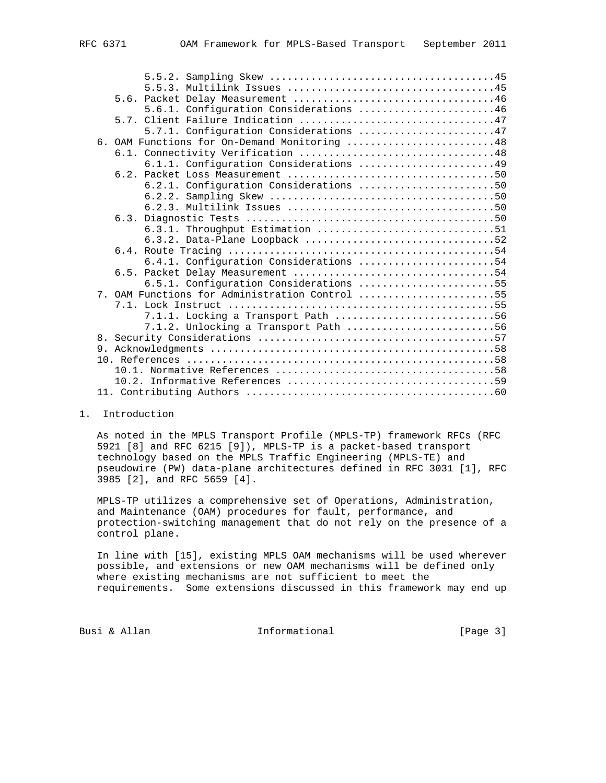|  | 5.6.1. Configuration Considerations 46         |
|--|------------------------------------------------|
|  |                                                |
|  | 5.7.1. Configuration Considerations 47         |
|  | 6. OAM Functions for On-Demand Monitoring 48   |
|  |                                                |
|  | 6.1.1. Configuration Considerations 49         |
|  |                                                |
|  | 6.2.1. Configuration Considerations 50         |
|  |                                                |
|  |                                                |
|  |                                                |
|  |                                                |
|  | 6.3.2. Data-Plane Loopback 52                  |
|  |                                                |
|  | 6.4.1. Configuration Considerations 54         |
|  |                                                |
|  | 6.5.1. Configuration Considerations 55         |
|  | 7. OAM Functions for Administration Control 55 |
|  |                                                |
|  | 7.1.1. Locking a Transport Path 56             |
|  | 7.1.2. Unlocking a Transport Path 56           |
|  |                                                |
|  |                                                |
|  |                                                |
|  |                                                |
|  |                                                |
|  |                                                |

## 1. Introduction

 As noted in the MPLS Transport Profile (MPLS-TP) framework RFCs (RFC 5921 [8] and RFC 6215 [9]), MPLS-TP is a packet-based transport technology based on the MPLS Traffic Engineering (MPLS-TE) and pseudowire (PW) data-plane architectures defined in RFC 3031 [1], RFC 3985 [2], and RFC 5659 [4].

 MPLS-TP utilizes a comprehensive set of Operations, Administration, and Maintenance (OAM) procedures for fault, performance, and protection-switching management that do not rely on the presence of a control plane.

 In line with [15], existing MPLS OAM mechanisms will be used wherever possible, and extensions or new OAM mechanisms will be defined only where existing mechanisms are not sufficient to meet the requirements. Some extensions discussed in this framework may end up

Busi & Allan **Informational** [Page 3]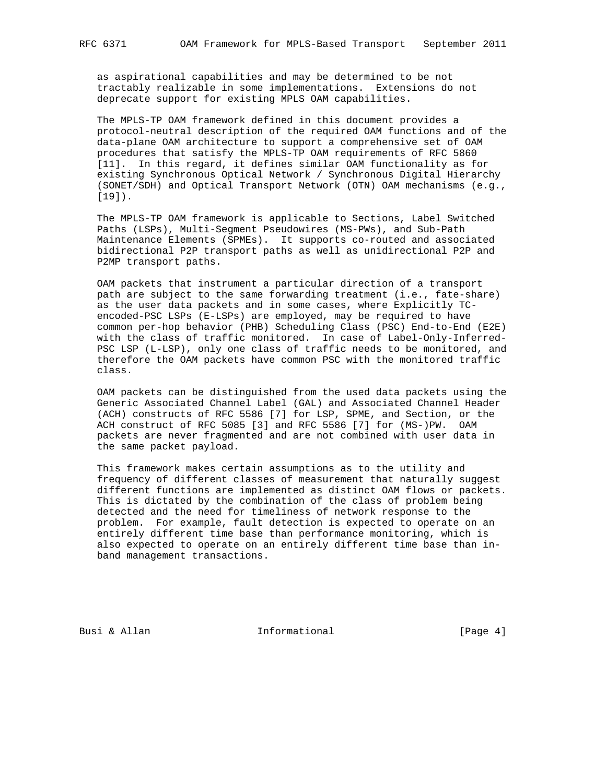as aspirational capabilities and may be determined to be not tractably realizable in some implementations. Extensions do not deprecate support for existing MPLS OAM capabilities.

 The MPLS-TP OAM framework defined in this document provides a protocol-neutral description of the required OAM functions and of the data-plane OAM architecture to support a comprehensive set of OAM procedures that satisfy the MPLS-TP OAM requirements of RFC 5860 [11]. In this regard, it defines similar OAM functionality as for existing Synchronous Optical Network / Synchronous Digital Hierarchy (SONET/SDH) and Optical Transport Network (OTN) OAM mechanisms (e.g., [19]).

 The MPLS-TP OAM framework is applicable to Sections, Label Switched Paths (LSPs), Multi-Segment Pseudowires (MS-PWs), and Sub-Path Maintenance Elements (SPMEs). It supports co-routed and associated bidirectional P2P transport paths as well as unidirectional P2P and P2MP transport paths.

 OAM packets that instrument a particular direction of a transport path are subject to the same forwarding treatment (i.e., fate-share) as the user data packets and in some cases, where Explicitly TC encoded-PSC LSPs (E-LSPs) are employed, may be required to have common per-hop behavior (PHB) Scheduling Class (PSC) End-to-End (E2E) with the class of traffic monitored. In case of Label-Only-Inferred- PSC LSP (L-LSP), only one class of traffic needs to be monitored, and therefore the OAM packets have common PSC with the monitored traffic class.

 OAM packets can be distinguished from the used data packets using the Generic Associated Channel Label (GAL) and Associated Channel Header (ACH) constructs of RFC 5586 [7] for LSP, SPME, and Section, or the ACH construct of RFC 5085 [3] and RFC 5586 [7] for (MS-)PW. OAM packets are never fragmented and are not combined with user data in the same packet payload.

 This framework makes certain assumptions as to the utility and frequency of different classes of measurement that naturally suggest different functions are implemented as distinct OAM flows or packets. This is dictated by the combination of the class of problem being detected and the need for timeliness of network response to the problem. For example, fault detection is expected to operate on an entirely different time base than performance monitoring, which is also expected to operate on an entirely different time base than in band management transactions.

Busi & Allan **Informational** [Page 4]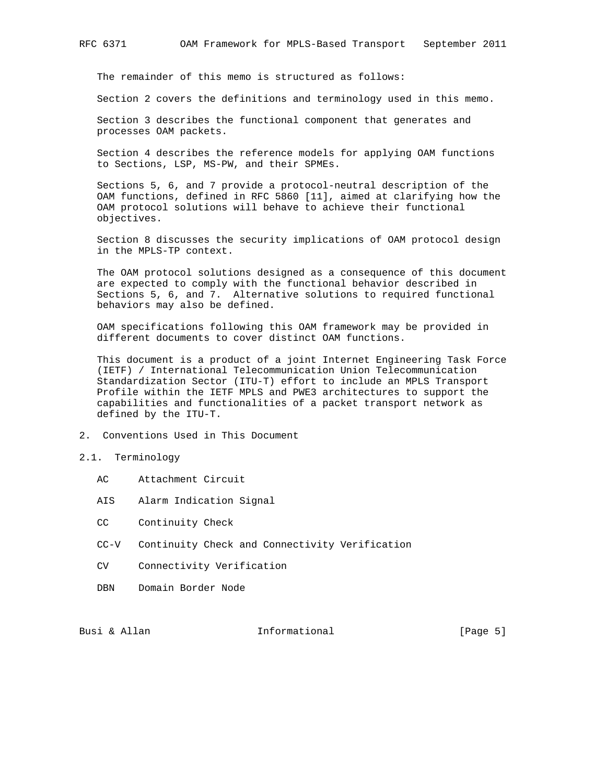The remainder of this memo is structured as follows:

Section 2 covers the definitions and terminology used in this memo.

 Section 3 describes the functional component that generates and processes OAM packets.

 Section 4 describes the reference models for applying OAM functions to Sections, LSP, MS-PW, and their SPMEs.

 Sections 5, 6, and 7 provide a protocol-neutral description of the OAM functions, defined in RFC 5860 [11], aimed at clarifying how the OAM protocol solutions will behave to achieve their functional objectives.

 Section 8 discusses the security implications of OAM protocol design in the MPLS-TP context.

 The OAM protocol solutions designed as a consequence of this document are expected to comply with the functional behavior described in Sections 5, 6, and 7. Alternative solutions to required functional behaviors may also be defined.

 OAM specifications following this OAM framework may be provided in different documents to cover distinct OAM functions.

 This document is a product of a joint Internet Engineering Task Force (IETF) / International Telecommunication Union Telecommunication Standardization Sector (ITU-T) effort to include an MPLS Transport Profile within the IETF MPLS and PWE3 architectures to support the capabilities and functionalities of a packet transport network as defined by the ITU-T.

- 2. Conventions Used in This Document
- 2.1. Terminology
	- AC Attachment Circuit
	- AIS Alarm Indication Signal
	- CC Continuity Check
	- CC-V Continuity Check and Connectivity Verification
	- CV Connectivity Verification
	- DBN Domain Border Node

Busi & Allan  $Informational$  [Page 5]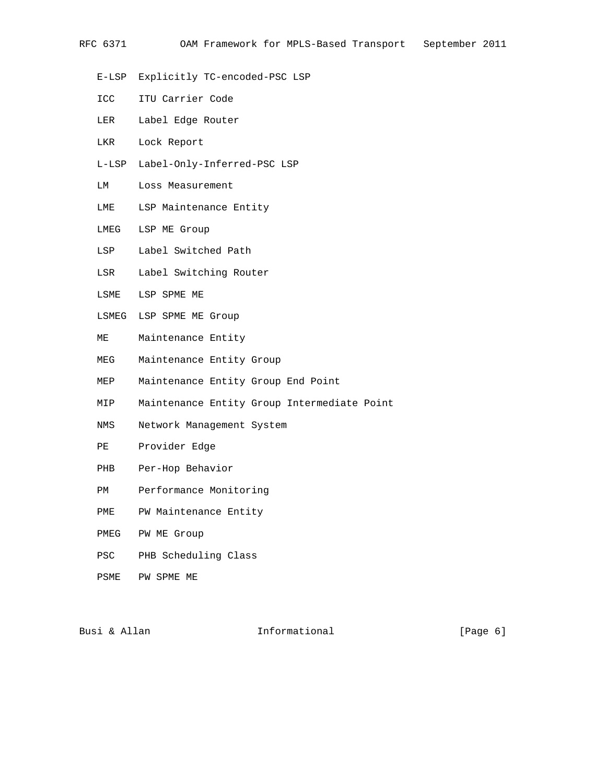- E-LSP Explicitly TC-encoded-PSC LSP
- ICC ITU Carrier Code
- LER Label Edge Router
- LKR Lock Report
- L-LSP Label-Only-Inferred-PSC LSP
- LM Loss Measurement
- LME LSP Maintenance Entity
- LMEG LSP ME Group
- LSP Label Switched Path
- LSR Label Switching Router
- LSME LSP SPME ME
- LSMEG LSP SPME ME Group
- ME Maintenance Entity
- MEG Maintenance Entity Group
- MEP Maintenance Entity Group End Point
- MIP Maintenance Entity Group Intermediate Point
- NMS Network Management System
- PE Provider Edge
- PHB Per-Hop Behavior
- PM Performance Monitoring
- PME PW Maintenance Entity
- PMEG PW ME Group
- PSC PHB Scheduling Class
- PSME PW SPME ME

Busi & Allan **Informational** [Page 6]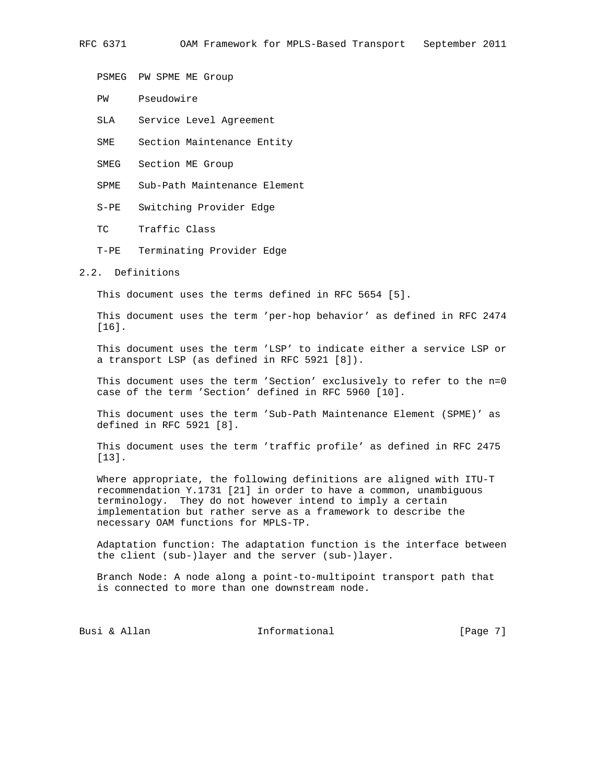PSMEG PW SPME ME Group

- PW Pseudowire
- SLA Service Level Agreement
- SME Section Maintenance Entity
- SMEG Section ME Group
- SPME Sub-Path Maintenance Element
- S-PE Switching Provider Edge
- TC Traffic Class
- T-PE Terminating Provider Edge

### 2.2. Definitions

This document uses the terms defined in RFC 5654 [5].

 This document uses the term 'per-hop behavior' as defined in RFC 2474 [16].

 This document uses the term 'LSP' to indicate either a service LSP or a transport LSP (as defined in RFC 5921 [8]).

 This document uses the term 'Section' exclusively to refer to the n=0 case of the term 'Section' defined in RFC 5960 [10].

 This document uses the term 'Sub-Path Maintenance Element (SPME)' as defined in RFC 5921 [8].

 This document uses the term 'traffic profile' as defined in RFC 2475 [13].

 Where appropriate, the following definitions are aligned with ITU-T recommendation Y.1731 [21] in order to have a common, unambiguous terminology. They do not however intend to imply a certain implementation but rather serve as a framework to describe the necessary OAM functions for MPLS-TP.

 Adaptation function: The adaptation function is the interface between the client (sub-)layer and the server (sub-)layer.

 Branch Node: A node along a point-to-multipoint transport path that is connected to more than one downstream node.

Busi & Allan  $I_n$  Informational [Page 7]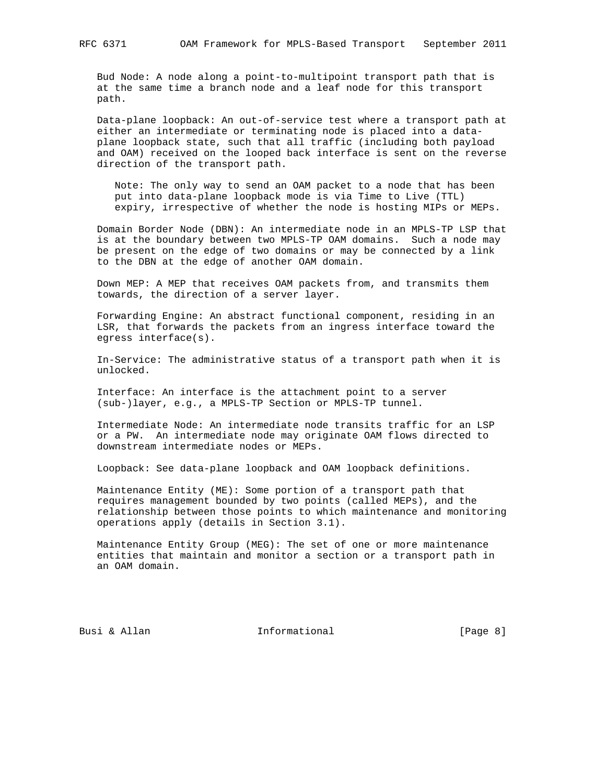Bud Node: A node along a point-to-multipoint transport path that is at the same time a branch node and a leaf node for this transport path.

 Data-plane loopback: An out-of-service test where a transport path at either an intermediate or terminating node is placed into a data plane loopback state, such that all traffic (including both payload and OAM) received on the looped back interface is sent on the reverse direction of the transport path.

 Note: The only way to send an OAM packet to a node that has been put into data-plane loopback mode is via Time to Live (TTL) expiry, irrespective of whether the node is hosting MIPs or MEPs.

 Domain Border Node (DBN): An intermediate node in an MPLS-TP LSP that is at the boundary between two MPLS-TP OAM domains. Such a node may be present on the edge of two domains or may be connected by a link to the DBN at the edge of another OAM domain.

 Down MEP: A MEP that receives OAM packets from, and transmits them towards, the direction of a server layer.

 Forwarding Engine: An abstract functional component, residing in an LSR, that forwards the packets from an ingress interface toward the egress interface(s).

 In-Service: The administrative status of a transport path when it is unlocked.

 Interface: An interface is the attachment point to a server (sub-)layer, e.g., a MPLS-TP Section or MPLS-TP tunnel.

 Intermediate Node: An intermediate node transits traffic for an LSP or a PW. An intermediate node may originate OAM flows directed to downstream intermediate nodes or MEPs.

Loopback: See data-plane loopback and OAM loopback definitions.

 Maintenance Entity (ME): Some portion of a transport path that requires management bounded by two points (called MEPs), and the relationship between those points to which maintenance and monitoring operations apply (details in Section 3.1).

 Maintenance Entity Group (MEG): The set of one or more maintenance entities that maintain and monitor a section or a transport path in an OAM domain.

Busi & Allan **Informational** [Page 8]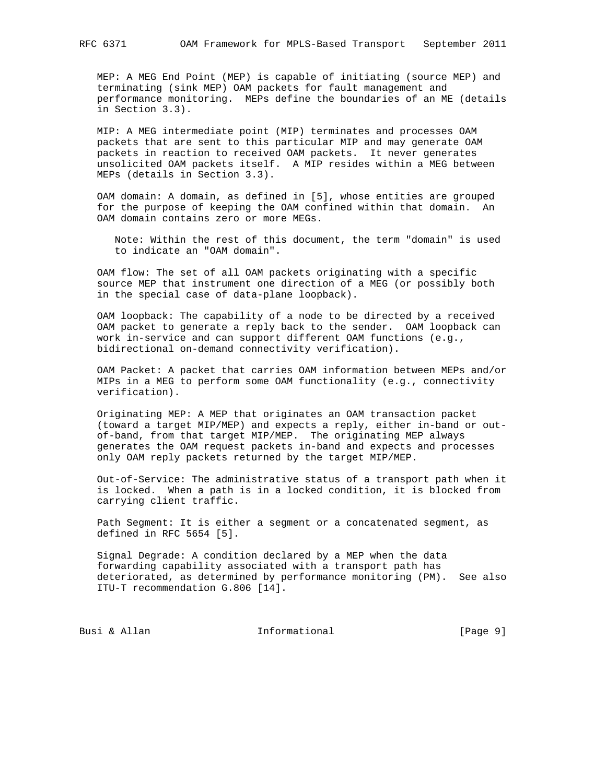MEP: A MEG End Point (MEP) is capable of initiating (source MEP) and terminating (sink MEP) OAM packets for fault management and performance monitoring. MEPs define the boundaries of an ME (details in Section 3.3).

 MIP: A MEG intermediate point (MIP) terminates and processes OAM packets that are sent to this particular MIP and may generate OAM packets in reaction to received OAM packets. It never generates unsolicited OAM packets itself. A MIP resides within a MEG between MEPs (details in Section 3.3).

 OAM domain: A domain, as defined in [5], whose entities are grouped for the purpose of keeping the OAM confined within that domain. An OAM domain contains zero or more MEGs.

 Note: Within the rest of this document, the term "domain" is used to indicate an "OAM domain".

 OAM flow: The set of all OAM packets originating with a specific source MEP that instrument one direction of a MEG (or possibly both in the special case of data-plane loopback).

 OAM loopback: The capability of a node to be directed by a received OAM packet to generate a reply back to the sender. OAM loopback can work in-service and can support different OAM functions (e.g., bidirectional on-demand connectivity verification).

 OAM Packet: A packet that carries OAM information between MEPs and/or MIPs in a MEG to perform some OAM functionality (e.g., connectivity verification).

 Originating MEP: A MEP that originates an OAM transaction packet (toward a target MIP/MEP) and expects a reply, either in-band or out of-band, from that target MIP/MEP. The originating MEP always generates the OAM request packets in-band and expects and processes only OAM reply packets returned by the target MIP/MEP.

 Out-of-Service: The administrative status of a transport path when it is locked. When a path is in a locked condition, it is blocked from carrying client traffic.

 Path Segment: It is either a segment or a concatenated segment, as defined in RFC 5654 [5].

 Signal Degrade: A condition declared by a MEP when the data forwarding capability associated with a transport path has deteriorated, as determined by performance monitoring (PM). See also ITU-T recommendation G.806 [14].

Busi & Allan  $I_n$  Informational [Page 9]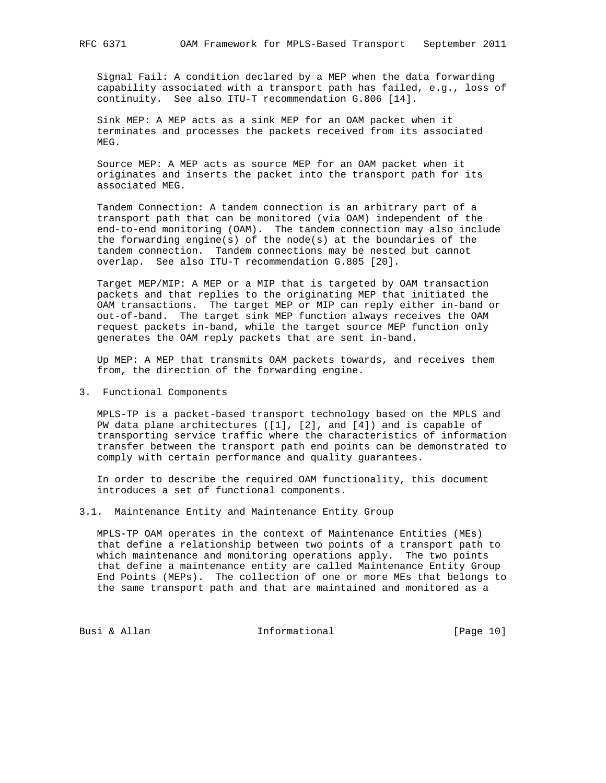Signal Fail: A condition declared by a MEP when the data forwarding capability associated with a transport path has failed, e.g., loss of continuity. See also ITU-T recommendation G.806 [14].

 Sink MEP: A MEP acts as a sink MEP for an OAM packet when it terminates and processes the packets received from its associated MEG.

 Source MEP: A MEP acts as source MEP for an OAM packet when it originates and inserts the packet into the transport path for its associated MEG.

 Tandem Connection: A tandem connection is an arbitrary part of a transport path that can be monitored (via OAM) independent of the end-to-end monitoring (OAM). The tandem connection may also include the forwarding engine(s) of the node(s) at the boundaries of the tandem connection. Tandem connections may be nested but cannot overlap. See also ITU-T recommendation G.805 [20].

 Target MEP/MIP: A MEP or a MIP that is targeted by OAM transaction packets and that replies to the originating MEP that initiated the OAM transactions. The target MEP or MIP can reply either in-band or out-of-band. The target sink MEP function always receives the OAM request packets in-band, while the target source MEP function only generates the OAM reply packets that are sent in-band.

 Up MEP: A MEP that transmits OAM packets towards, and receives them from, the direction of the forwarding engine.

3. Functional Components

 MPLS-TP is a packet-based transport technology based on the MPLS and PW data plane architectures ([1], [2], and [4]) and is capable of transporting service traffic where the characteristics of information transfer between the transport path end points can be demonstrated to comply with certain performance and quality guarantees.

 In order to describe the required OAM functionality, this document introduces a set of functional components.

3.1. Maintenance Entity and Maintenance Entity Group

 MPLS-TP OAM operates in the context of Maintenance Entities (MEs) that define a relationship between two points of a transport path to which maintenance and monitoring operations apply. The two points that define a maintenance entity are called Maintenance Entity Group End Points (MEPs). The collection of one or more MEs that belongs to the same transport path and that are maintained and monitored as a

Busi & Allan **Informational** [Page 10]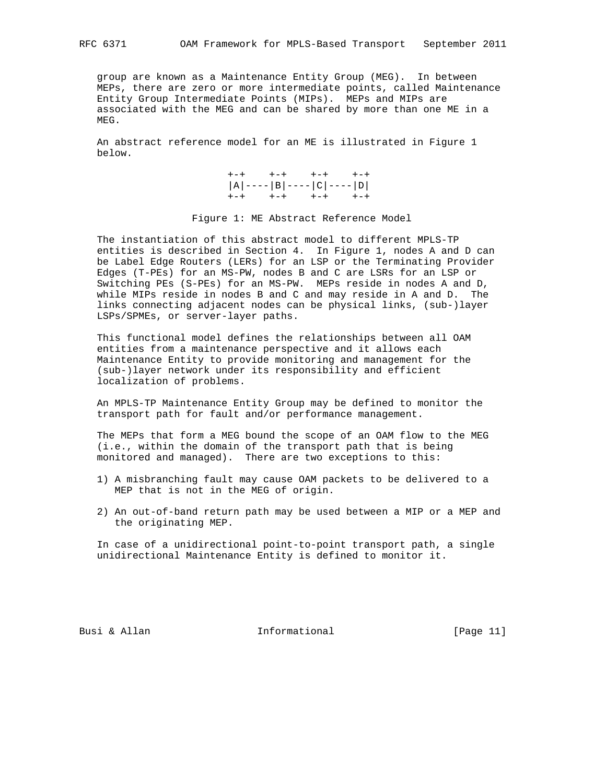group are known as a Maintenance Entity Group (MEG). In between MEPs, there are zero or more intermediate points, called Maintenance Entity Group Intermediate Points (MIPs). MEPs and MIPs are associated with the MEG and can be shared by more than one ME in a MEG.

 An abstract reference model for an ME is illustrated in Figure 1 below.

 +-+ +-+ +-+ +-+  $|A|$  ---- $|B|$  ---- $|C|$  ---- $|D|$ +-+ +-+ +-+ +-+

Figure 1: ME Abstract Reference Model

 The instantiation of this abstract model to different MPLS-TP entities is described in Section 4. In Figure 1, nodes A and D can be Label Edge Routers (LERs) for an LSP or the Terminating Provider Edges (T-PEs) for an MS-PW, nodes B and C are LSRs for an LSP or Switching PEs (S-PEs) for an MS-PW. MEPs reside in nodes A and D, while MIPs reside in nodes B and C and may reside in A and D. The links connecting adjacent nodes can be physical links, (sub-)layer LSPs/SPMEs, or server-layer paths.

 This functional model defines the relationships between all OAM entities from a maintenance perspective and it allows each Maintenance Entity to provide monitoring and management for the (sub-)layer network under its responsibility and efficient localization of problems.

 An MPLS-TP Maintenance Entity Group may be defined to monitor the transport path for fault and/or performance management.

 The MEPs that form a MEG bound the scope of an OAM flow to the MEG (i.e., within the domain of the transport path that is being monitored and managed). There are two exceptions to this:

- 1) A misbranching fault may cause OAM packets to be delivered to a MEP that is not in the MEG of origin.
- 2) An out-of-band return path may be used between a MIP or a MEP and the originating MEP.

 In case of a unidirectional point-to-point transport path, a single unidirectional Maintenance Entity is defined to monitor it.

Busi & Allan  $I_n$  Informational [Page 11]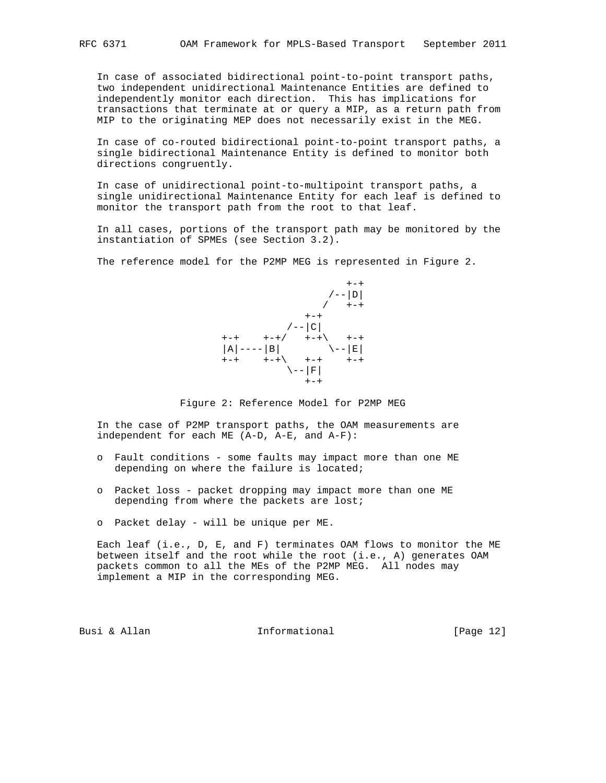In case of associated bidirectional point-to-point transport paths, two independent unidirectional Maintenance Entities are defined to independently monitor each direction. This has implications for transactions that terminate at or query a MIP, as a return path from MIP to the originating MEP does not necessarily exist in the MEG.

 In case of co-routed bidirectional point-to-point transport paths, a single bidirectional Maintenance Entity is defined to monitor both directions congruently.

 In case of unidirectional point-to-multipoint transport paths, a single unidirectional Maintenance Entity for each leaf is defined to monitor the transport path from the root to that leaf.

 In all cases, portions of the transport path may be monitored by the instantiation of SPMEs (see Section 3.2).

The reference model for the P2MP MEG is represented in Figure 2.



Figure 2: Reference Model for P2MP MEG

 In the case of P2MP transport paths, the OAM measurements are independent for each ME (A-D, A-E, and A-F):

- o Fault conditions some faults may impact more than one ME depending on where the failure is located;
- o Packet loss packet dropping may impact more than one ME depending from where the packets are lost;
- o Packet delay will be unique per ME.

 Each leaf (i.e., D, E, and F) terminates OAM flows to monitor the ME between itself and the root while the root (i.e., A) generates OAM packets common to all the MEs of the P2MP MEG. All nodes may implement a MIP in the corresponding MEG.

Busi & Allan  $I_n$  Informational [Page 12]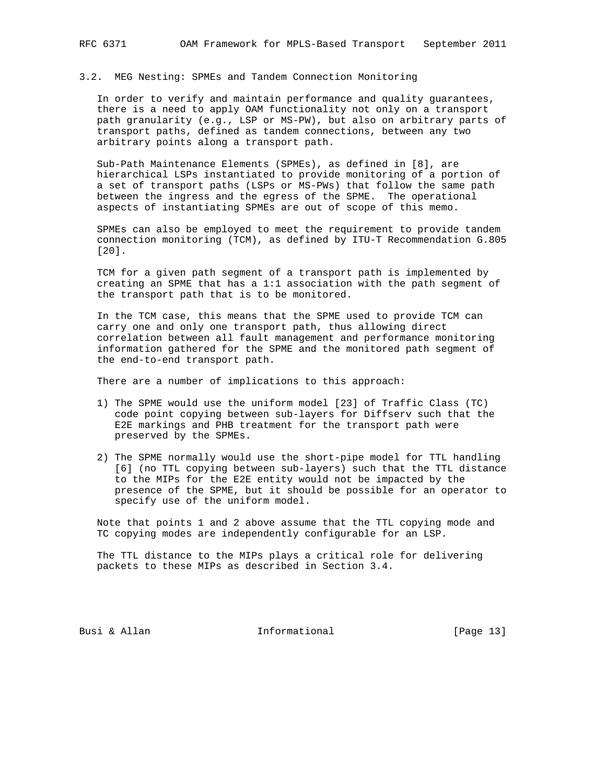#### 3.2. MEG Nesting: SPMEs and Tandem Connection Monitoring

 In order to verify and maintain performance and quality guarantees, there is a need to apply OAM functionality not only on a transport path granularity (e.g., LSP or MS-PW), but also on arbitrary parts of transport paths, defined as tandem connections, between any two arbitrary points along a transport path.

 Sub-Path Maintenance Elements (SPMEs), as defined in [8], are hierarchical LSPs instantiated to provide monitoring of a portion of a set of transport paths (LSPs or MS-PWs) that follow the same path between the ingress and the egress of the SPME. The operational aspects of instantiating SPMEs are out of scope of this memo.

 SPMEs can also be employed to meet the requirement to provide tandem connection monitoring (TCM), as defined by ITU-T Recommendation G.805 [20].

 TCM for a given path segment of a transport path is implemented by creating an SPME that has a 1:1 association with the path segment of the transport path that is to be monitored.

 In the TCM case, this means that the SPME used to provide TCM can carry one and only one transport path, thus allowing direct correlation between all fault management and performance monitoring information gathered for the SPME and the monitored path segment of the end-to-end transport path.

There are a number of implications to this approach:

- 1) The SPME would use the uniform model [23] of Traffic Class (TC) code point copying between sub-layers for Diffserv such that the E2E markings and PHB treatment for the transport path were preserved by the SPMEs.
- 2) The SPME normally would use the short-pipe model for TTL handling [6] (no TTL copying between sub-layers) such that the TTL distance to the MIPs for the E2E entity would not be impacted by the presence of the SPME, but it should be possible for an operator to specify use of the uniform model.

 Note that points 1 and 2 above assume that the TTL copying mode and TC copying modes are independently configurable for an LSP.

 The TTL distance to the MIPs plays a critical role for delivering packets to these MIPs as described in Section 3.4.

Busi & Allan Informational [Page 13]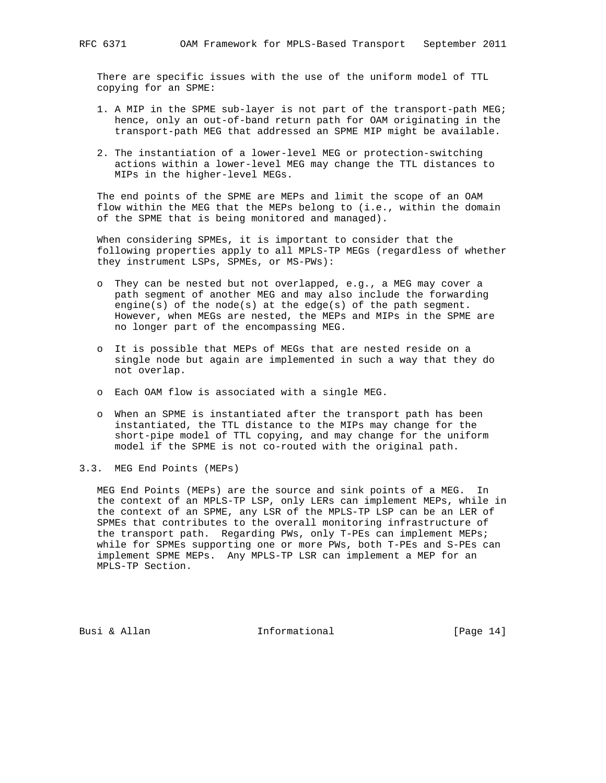There are specific issues with the use of the uniform model of TTL copying for an SPME:

- 1. A MIP in the SPME sub-layer is not part of the transport-path MEG; hence, only an out-of-band return path for OAM originating in the transport-path MEG that addressed an SPME MIP might be available.
- 2. The instantiation of a lower-level MEG or protection-switching actions within a lower-level MEG may change the TTL distances to MIPs in the higher-level MEGs.

 The end points of the SPME are MEPs and limit the scope of an OAM flow within the MEG that the MEPs belong to (i.e., within the domain of the SPME that is being monitored and managed).

 When considering SPMEs, it is important to consider that the following properties apply to all MPLS-TP MEGs (regardless of whether they instrument LSPs, SPMEs, or MS-PWs):

- o They can be nested but not overlapped, e.g., a MEG may cover a path segment of another MEG and may also include the forwarding engine(s) of the node(s) at the edge(s) of the path segment. However, when MEGs are nested, the MEPs and MIPs in the SPME are no longer part of the encompassing MEG.
- o It is possible that MEPs of MEGs that are nested reside on a single node but again are implemented in such a way that they do not overlap.
- o Each OAM flow is associated with a single MEG.
- o When an SPME is instantiated after the transport path has been instantiated, the TTL distance to the MIPs may change for the short-pipe model of TTL copying, and may change for the uniform model if the SPME is not co-routed with the original path.
- 3.3. MEG End Points (MEPs)

 MEG End Points (MEPs) are the source and sink points of a MEG. In the context of an MPLS-TP LSP, only LERs can implement MEPs, while in the context of an SPME, any LSR of the MPLS-TP LSP can be an LER of SPMEs that contributes to the overall monitoring infrastructure of the transport path. Regarding PWs, only T-PEs can implement MEPs; while for SPMEs supporting one or more PWs, both T-PEs and S-PEs can implement SPME MEPs. Any MPLS-TP LSR can implement a MEP for an MPLS-TP Section.

Busi & Allan **Informational** [Page 14]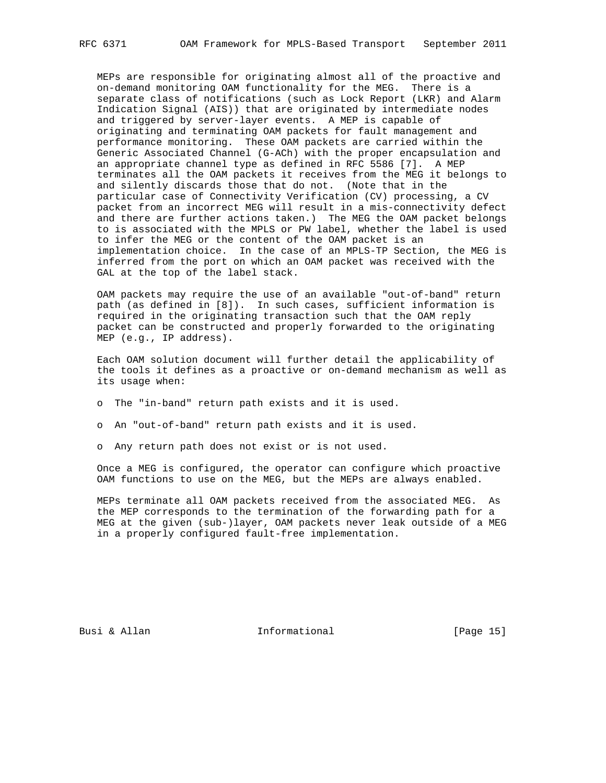MEPs are responsible for originating almost all of the proactive and on-demand monitoring OAM functionality for the MEG. There is a separate class of notifications (such as Lock Report (LKR) and Alarm Indication Signal (AIS)) that are originated by intermediate nodes and triggered by server-layer events. A MEP is capable of originating and terminating OAM packets for fault management and performance monitoring. These OAM packets are carried within the Generic Associated Channel (G-ACh) with the proper encapsulation and an appropriate channel type as defined in RFC 5586 [7]. A MEP terminates all the OAM packets it receives from the MEG it belongs to and silently discards those that do not. (Note that in the particular case of Connectivity Verification (CV) processing, a CV packet from an incorrect MEG will result in a mis-connectivity defect and there are further actions taken.) The MEG the OAM packet belongs to is associated with the MPLS or PW label, whether the label is used to infer the MEG or the content of the OAM packet is an implementation choice. In the case of an MPLS-TP Section, the MEG is inferred from the port on which an OAM packet was received with the GAL at the top of the label stack.

 OAM packets may require the use of an available "out-of-band" return path (as defined in [8]). In such cases, sufficient information is required in the originating transaction such that the OAM reply packet can be constructed and properly forwarded to the originating MEP (e.g., IP address).

 Each OAM solution document will further detail the applicability of the tools it defines as a proactive or on-demand mechanism as well as its usage when:

- o The "in-band" return path exists and it is used.
- o An "out-of-band" return path exists and it is used.
- o Any return path does not exist or is not used.

 Once a MEG is configured, the operator can configure which proactive OAM functions to use on the MEG, but the MEPs are always enabled.

 MEPs terminate all OAM packets received from the associated MEG. As the MEP corresponds to the termination of the forwarding path for a MEG at the given (sub-)layer, OAM packets never leak outside of a MEG in a properly configured fault-free implementation.

Busi & Allan **Informational** [Page 15]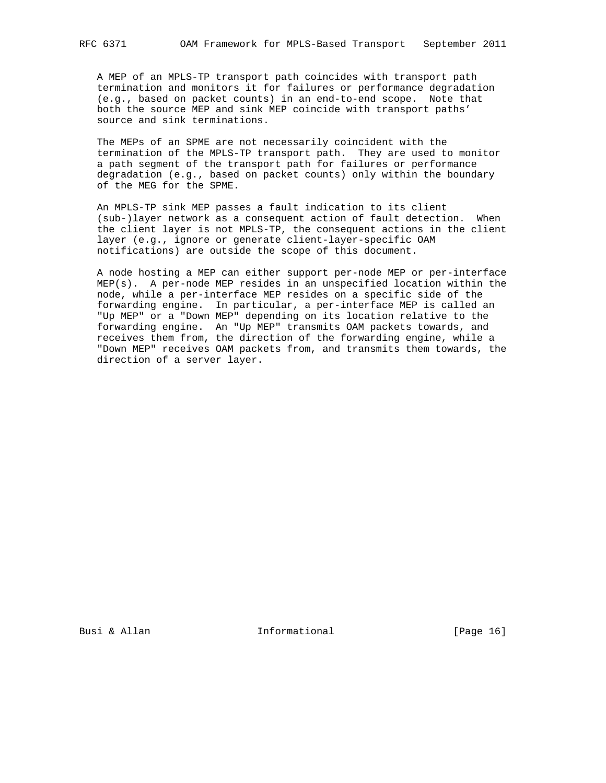A MEP of an MPLS-TP transport path coincides with transport path termination and monitors it for failures or performance degradation (e.g., based on packet counts) in an end-to-end scope. Note that both the source MEP and sink MEP coincide with transport paths' source and sink terminations.

 The MEPs of an SPME are not necessarily coincident with the termination of the MPLS-TP transport path. They are used to monitor a path segment of the transport path for failures or performance degradation (e.g., based on packet counts) only within the boundary of the MEG for the SPME.

 An MPLS-TP sink MEP passes a fault indication to its client (sub-)layer network as a consequent action of fault detection. When the client layer is not MPLS-TP, the consequent actions in the client layer (e.g., ignore or generate client-layer-specific OAM notifications) are outside the scope of this document.

 A node hosting a MEP can either support per-node MEP or per-interface MEP(s). A per-node MEP resides in an unspecified location within the node, while a per-interface MEP resides on a specific side of the forwarding engine. In particular, a per-interface MEP is called an "Up MEP" or a "Down MEP" depending on its location relative to the forwarding engine. An "Up MEP" transmits OAM packets towards, and receives them from, the direction of the forwarding engine, while a "Down MEP" receives OAM packets from, and transmits them towards, the direction of a server layer.

Busi & Allan **Informational** [Page 16]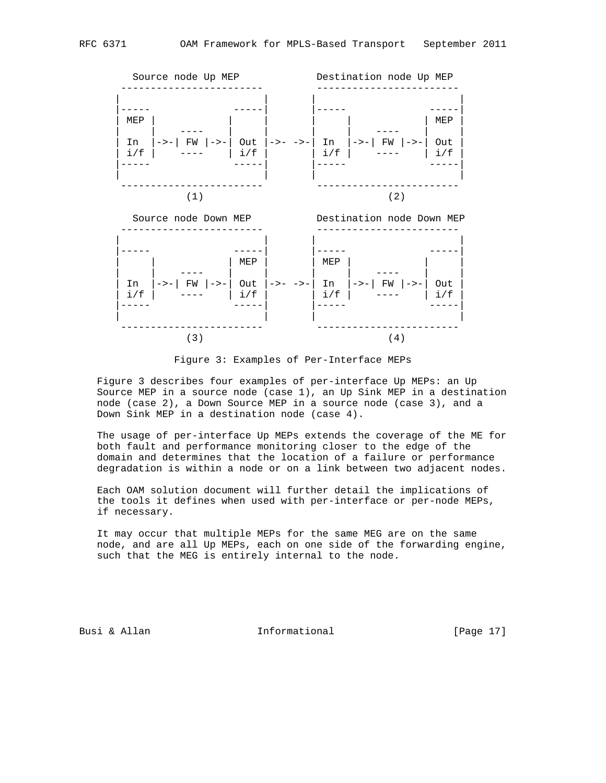



Figure 3: Examples of Per-Interface MEPs

 Figure 3 describes four examples of per-interface Up MEPs: an Up Source MEP in a source node (case 1), an Up Sink MEP in a destination node (case 2), a Down Source MEP in a source node (case 3), and a Down Sink MEP in a destination node (case 4).

 The usage of per-interface Up MEPs extends the coverage of the ME for both fault and performance monitoring closer to the edge of the domain and determines that the location of a failure or performance degradation is within a node or on a link between two adjacent nodes.

 Each OAM solution document will further detail the implications of the tools it defines when used with per-interface or per-node MEPs, if necessary.

 It may occur that multiple MEPs for the same MEG are on the same node, and are all Up MEPs, each on one side of the forwarding engine, such that the MEG is entirely internal to the node.

Busi & Allan **Informational** [Page 17]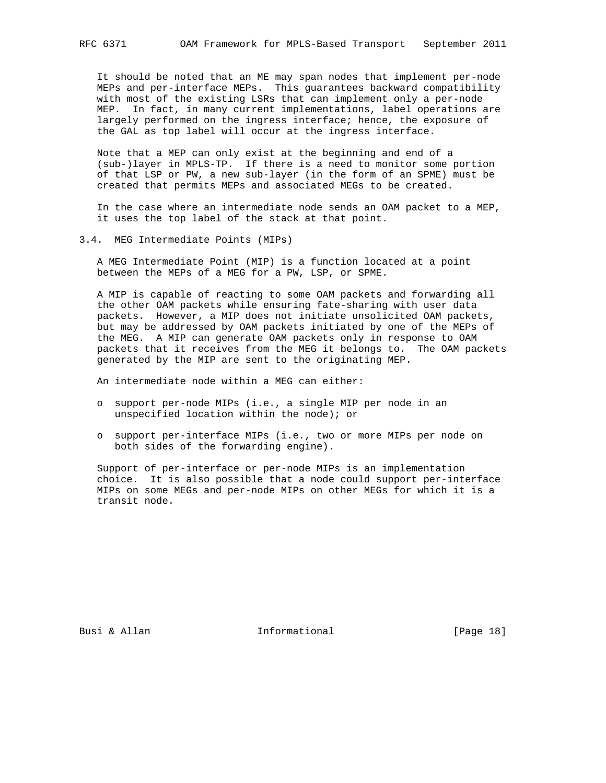It should be noted that an ME may span nodes that implement per-node MEPs and per-interface MEPs. This guarantees backward compatibility with most of the existing LSRs that can implement only a per-node MEP. In fact, in many current implementations, label operations are largely performed on the ingress interface; hence, the exposure of the GAL as top label will occur at the ingress interface.

 Note that a MEP can only exist at the beginning and end of a (sub-)layer in MPLS-TP. If there is a need to monitor some portion of that LSP or PW, a new sub-layer (in the form of an SPME) must be created that permits MEPs and associated MEGs to be created.

 In the case where an intermediate node sends an OAM packet to a MEP, it uses the top label of the stack at that point.

3.4. MEG Intermediate Points (MIPs)

 A MEG Intermediate Point (MIP) is a function located at a point between the MEPs of a MEG for a PW, LSP, or SPME.

 A MIP is capable of reacting to some OAM packets and forwarding all the other OAM packets while ensuring fate-sharing with user data packets. However, a MIP does not initiate unsolicited OAM packets, but may be addressed by OAM packets initiated by one of the MEPs of the MEG. A MIP can generate OAM packets only in response to OAM packets that it receives from the MEG it belongs to. The OAM packets generated by the MIP are sent to the originating MEP.

An intermediate node within a MEG can either:

- o support per-node MIPs (i.e., a single MIP per node in an unspecified location within the node); or
- o support per-interface MIPs (i.e., two or more MIPs per node on both sides of the forwarding engine).

 Support of per-interface or per-node MIPs is an implementation choice. It is also possible that a node could support per-interface MIPs on some MEGs and per-node MIPs on other MEGs for which it is a transit node.

Busi & Allan **Informational** [Page 18]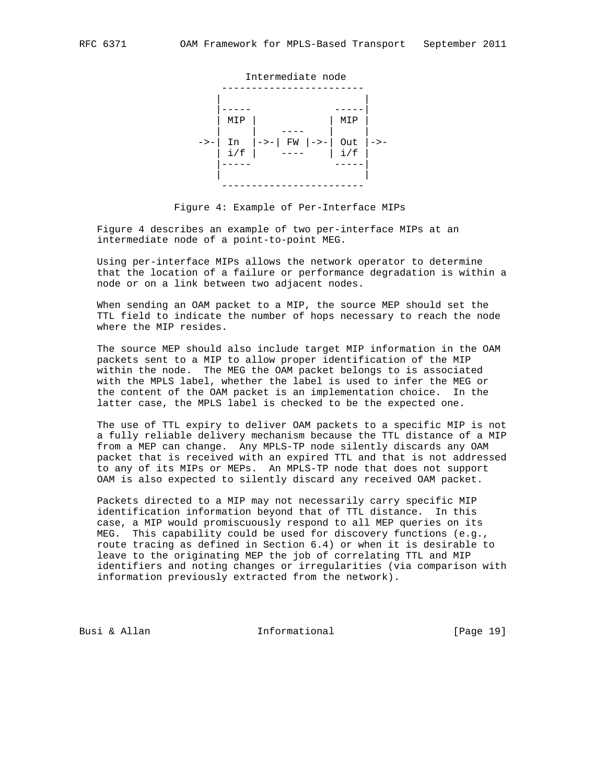

Figure 4: Example of Per-Interface MIPs

 Figure 4 describes an example of two per-interface MIPs at an intermediate node of a point-to-point MEG.

 Using per-interface MIPs allows the network operator to determine that the location of a failure or performance degradation is within a node or on a link between two adjacent nodes.

 When sending an OAM packet to a MIP, the source MEP should set the TTL field to indicate the number of hops necessary to reach the node where the MIP resides.

 The source MEP should also include target MIP information in the OAM packets sent to a MIP to allow proper identification of the MIP within the node. The MEG the OAM packet belongs to is associated with the MPLS label, whether the label is used to infer the MEG or the content of the OAM packet is an implementation choice. In the latter case, the MPLS label is checked to be the expected one.

 The use of TTL expiry to deliver OAM packets to a specific MIP is not a fully reliable delivery mechanism because the TTL distance of a MIP from a MEP can change. Any MPLS-TP node silently discards any OAM packet that is received with an expired TTL and that is not addressed to any of its MIPs or MEPs. An MPLS-TP node that does not support OAM is also expected to silently discard any received OAM packet.

 Packets directed to a MIP may not necessarily carry specific MIP identification information beyond that of TTL distance. In this case, a MIP would promiscuously respond to all MEP queries on its MEG. This capability could be used for discovery functions (e.g., route tracing as defined in Section 6.4) or when it is desirable to leave to the originating MEP the job of correlating TTL and MIP identifiers and noting changes or irregularities (via comparison with information previously extracted from the network).

Busi & Allan  $I_n$  Informational [Page 19]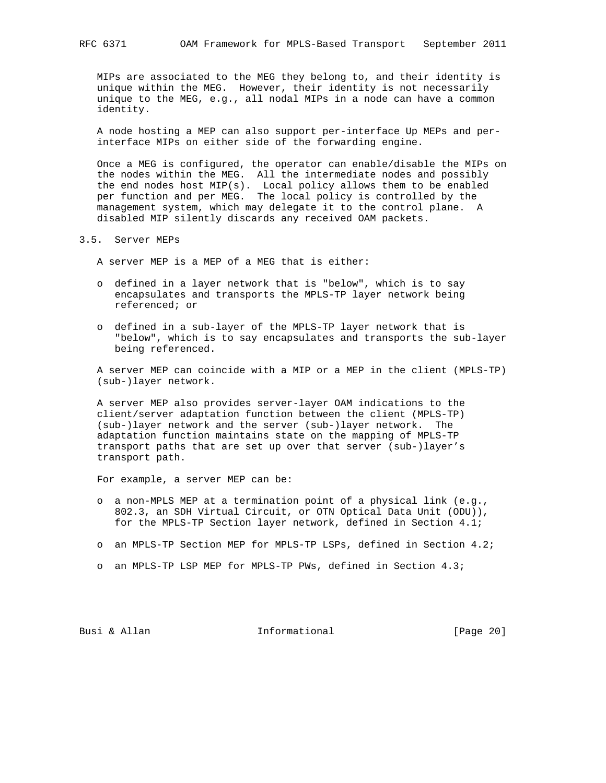MIPs are associated to the MEG they belong to, and their identity is unique within the MEG. However, their identity is not necessarily unique to the MEG, e.g., all nodal MIPs in a node can have a common identity.

 A node hosting a MEP can also support per-interface Up MEPs and per interface MIPs on either side of the forwarding engine.

 Once a MEG is configured, the operator can enable/disable the MIPs on the nodes within the MEG. All the intermediate nodes and possibly the end nodes host MIP(s). Local policy allows them to be enabled per function and per MEG. The local policy is controlled by the management system, which may delegate it to the control plane. A disabled MIP silently discards any received OAM packets.

3.5. Server MEPs

A server MEP is a MEP of a MEG that is either:

- o defined in a layer network that is "below", which is to say encapsulates and transports the MPLS-TP layer network being referenced; or
- o defined in a sub-layer of the MPLS-TP layer network that is "below", which is to say encapsulates and transports the sub-layer being referenced.

 A server MEP can coincide with a MIP or a MEP in the client (MPLS-TP) (sub-)layer network.

 A server MEP also provides server-layer OAM indications to the client/server adaptation function between the client (MPLS-TP) (sub-)layer network and the server (sub-)layer network. The adaptation function maintains state on the mapping of MPLS-TP transport paths that are set up over that server (sub-)layer's transport path.

For example, a server MEP can be:

- o a non-MPLS MEP at a termination point of a physical link (e.g., 802.3, an SDH Virtual Circuit, or OTN Optical Data Unit (ODU)), for the MPLS-TP Section layer network, defined in Section 4.1;
- o an MPLS-TP Section MEP for MPLS-TP LSPs, defined in Section 4.2;
- o an MPLS-TP LSP MEP for MPLS-TP PWs, defined in Section 4.3;

Busi & Allan  $I_n$  Informational [Page 20]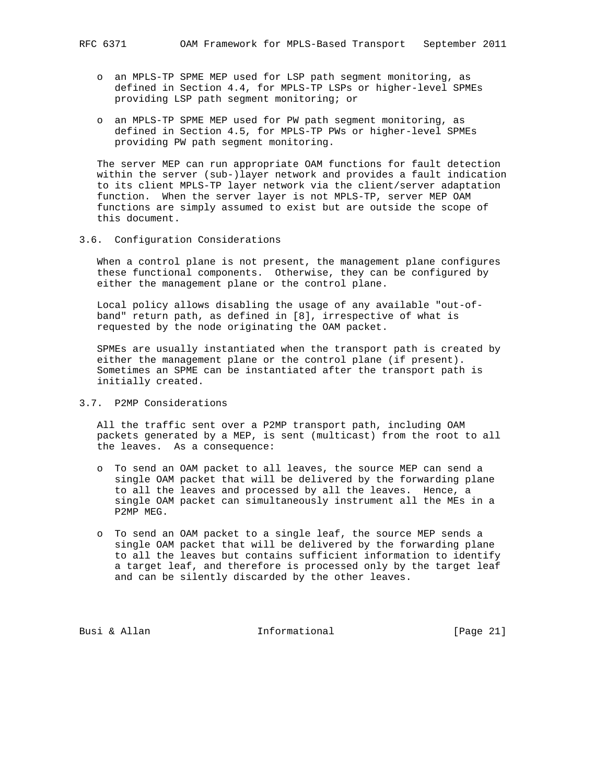- o an MPLS-TP SPME MEP used for LSP path segment monitoring, as defined in Section 4.4, for MPLS-TP LSPs or higher-level SPMEs providing LSP path segment monitoring; or
- o an MPLS-TP SPME MEP used for PW path segment monitoring, as defined in Section 4.5, for MPLS-TP PWs or higher-level SPMEs providing PW path segment monitoring.

 The server MEP can run appropriate OAM functions for fault detection within the server (sub-)layer network and provides a fault indication to its client MPLS-TP layer network via the client/server adaptation function. When the server layer is not MPLS-TP, server MEP OAM functions are simply assumed to exist but are outside the scope of this document.

#### 3.6. Configuration Considerations

 When a control plane is not present, the management plane configures these functional components. Otherwise, they can be configured by either the management plane or the control plane.

 Local policy allows disabling the usage of any available "out-of band" return path, as defined in [8], irrespective of what is requested by the node originating the OAM packet.

 SPMEs are usually instantiated when the transport path is created by either the management plane or the control plane (if present). Sometimes an SPME can be instantiated after the transport path is initially created.

### 3.7. P2MP Considerations

 All the traffic sent over a P2MP transport path, including OAM packets generated by a MEP, is sent (multicast) from the root to all the leaves. As a consequence:

- o To send an OAM packet to all leaves, the source MEP can send a single OAM packet that will be delivered by the forwarding plane to all the leaves and processed by all the leaves. Hence, a single OAM packet can simultaneously instrument all the MEs in a P2MP MEG.
- o To send an OAM packet to a single leaf, the source MEP sends a single OAM packet that will be delivered by the forwarding plane to all the leaves but contains sufficient information to identify a target leaf, and therefore is processed only by the target leaf and can be silently discarded by the other leaves.

Busi & Allan **Informational** [Page 21]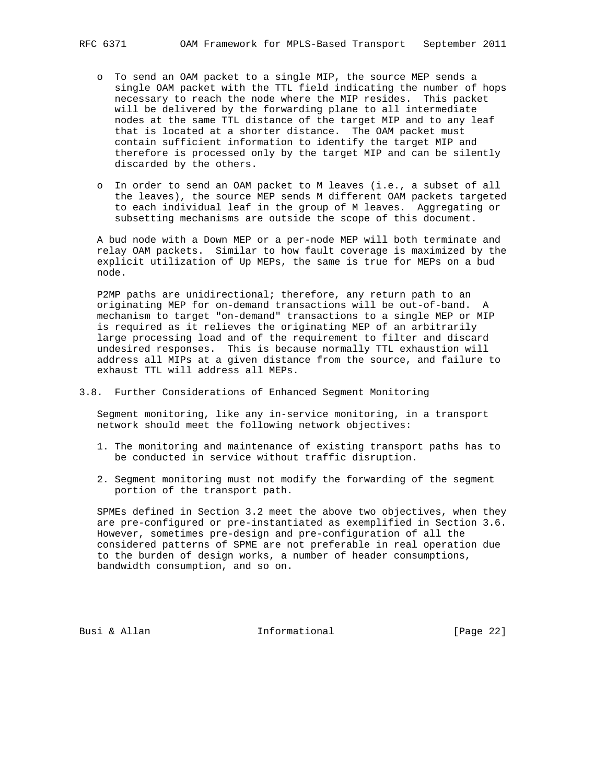- o To send an OAM packet to a single MIP, the source MEP sends a single OAM packet with the TTL field indicating the number of hops necessary to reach the node where the MIP resides. This packet will be delivered by the forwarding plane to all intermediate nodes at the same TTL distance of the target MIP and to any leaf that is located at a shorter distance. The OAM packet must contain sufficient information to identify the target MIP and therefore is processed only by the target MIP and can be silently discarded by the others.
- o In order to send an OAM packet to M leaves (i.e., a subset of all the leaves), the source MEP sends M different OAM packets targeted to each individual leaf in the group of M leaves. Aggregating or subsetting mechanisms are outside the scope of this document.

 A bud node with a Down MEP or a per-node MEP will both terminate and relay OAM packets. Similar to how fault coverage is maximized by the explicit utilization of Up MEPs, the same is true for MEPs on a bud node.

 P2MP paths are unidirectional; therefore, any return path to an originating MEP for on-demand transactions will be out-of-band. A mechanism to target "on-demand" transactions to a single MEP or MIP is required as it relieves the originating MEP of an arbitrarily large processing load and of the requirement to filter and discard undesired responses. This is because normally TTL exhaustion will address all MIPs at a given distance from the source, and failure to exhaust TTL will address all MEPs.

### 3.8. Further Considerations of Enhanced Segment Monitoring

 Segment monitoring, like any in-service monitoring, in a transport network should meet the following network objectives:

- 1. The monitoring and maintenance of existing transport paths has to be conducted in service without traffic disruption.
- 2. Segment monitoring must not modify the forwarding of the segment portion of the transport path.

 SPMEs defined in Section 3.2 meet the above two objectives, when they are pre-configured or pre-instantiated as exemplified in Section 3.6. However, sometimes pre-design and pre-configuration of all the considered patterns of SPME are not preferable in real operation due to the burden of design works, a number of header consumptions, bandwidth consumption, and so on.

Busi & Allan **Informational** [Page 22]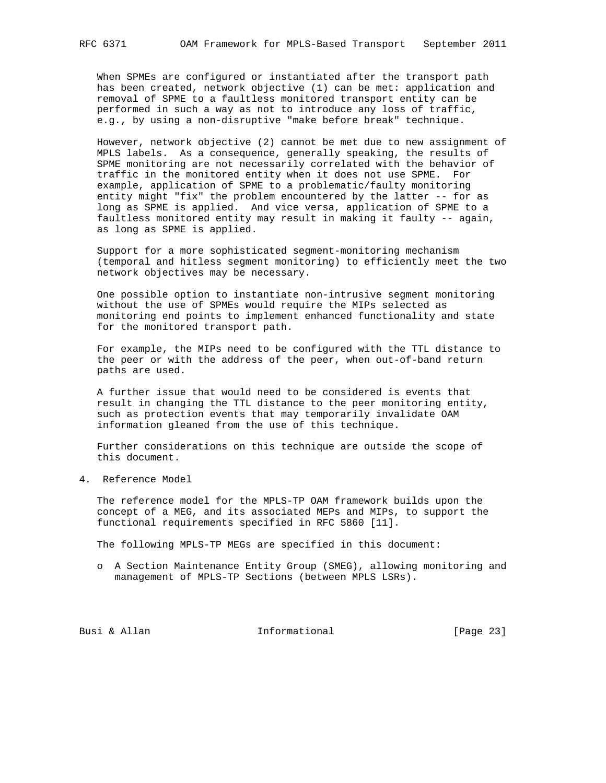When SPMEs are configured or instantiated after the transport path has been created, network objective (1) can be met: application and removal of SPME to a faultless monitored transport entity can be performed in such a way as not to introduce any loss of traffic, e.g., by using a non-disruptive "make before break" technique.

 However, network objective (2) cannot be met due to new assignment of MPLS labels. As a consequence, generally speaking, the results of SPME monitoring are not necessarily correlated with the behavior of traffic in the monitored entity when it does not use SPME. For example, application of SPME to a problematic/faulty monitoring entity might "fix" the problem encountered by the latter -- for as long as SPME is applied. And vice versa, application of SPME to a faultless monitored entity may result in making it faulty -- again, as long as SPME is applied.

 Support for a more sophisticated segment-monitoring mechanism (temporal and hitless segment monitoring) to efficiently meet the two network objectives may be necessary.

 One possible option to instantiate non-intrusive segment monitoring without the use of SPMEs would require the MIPs selected as monitoring end points to implement enhanced functionality and state for the monitored transport path.

 For example, the MIPs need to be configured with the TTL distance to the peer or with the address of the peer, when out-of-band return paths are used.

 A further issue that would need to be considered is events that result in changing the TTL distance to the peer monitoring entity, such as protection events that may temporarily invalidate OAM information gleaned from the use of this technique.

 Further considerations on this technique are outside the scope of this document.

4. Reference Model

 The reference model for the MPLS-TP OAM framework builds upon the concept of a MEG, and its associated MEPs and MIPs, to support the functional requirements specified in RFC 5860 [11].

The following MPLS-TP MEGs are specified in this document:

 o A Section Maintenance Entity Group (SMEG), allowing monitoring and management of MPLS-TP Sections (between MPLS LSRs).

Busi & Allan Informational [Page 23]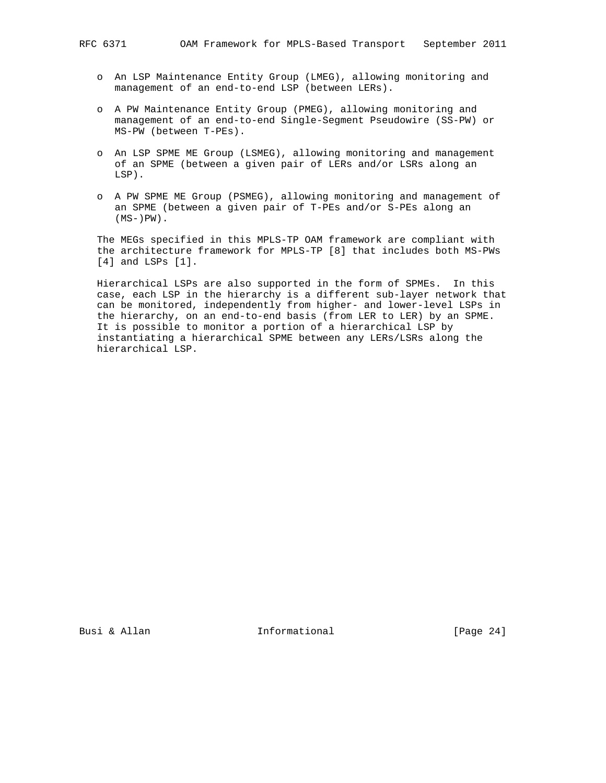- o An LSP Maintenance Entity Group (LMEG), allowing monitoring and management of an end-to-end LSP (between LERs).
- o A PW Maintenance Entity Group (PMEG), allowing monitoring and management of an end-to-end Single-Segment Pseudowire (SS-PW) or MS-PW (between T-PEs).
- o An LSP SPME ME Group (LSMEG), allowing monitoring and management of an SPME (between a given pair of LERs and/or LSRs along an LSP).
- o A PW SPME ME Group (PSMEG), allowing monitoring and management of an SPME (between a given pair of T-PEs and/or S-PEs along an  $(MS-)PW)$ .

 The MEGs specified in this MPLS-TP OAM framework are compliant with the architecture framework for MPLS-TP [8] that includes both MS-PWs [4] and LSPs [1].

 Hierarchical LSPs are also supported in the form of SPMEs. In this case, each LSP in the hierarchy is a different sub-layer network that can be monitored, independently from higher- and lower-level LSPs in the hierarchy, on an end-to-end basis (from LER to LER) by an SPME. It is possible to monitor a portion of a hierarchical LSP by instantiating a hierarchical SPME between any LERs/LSRs along the hierarchical LSP.

Busi & Allan **Informational** [Page 24]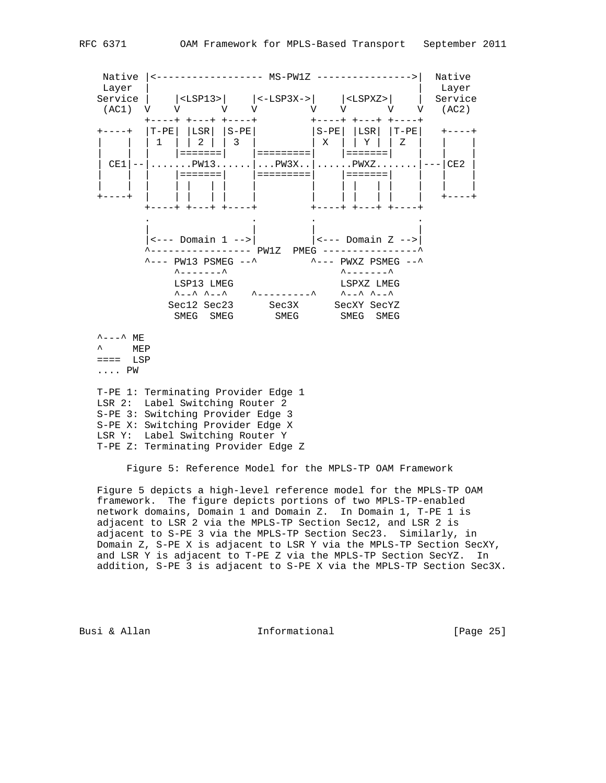

Figure 5: Reference Model for the MPLS-TP OAM Framework

 Figure 5 depicts a high-level reference model for the MPLS-TP OAM framework. The figure depicts portions of two MPLS-TP-enabled network domains, Domain 1 and Domain Z. In Domain 1, T-PE 1 is adjacent to LSR 2 via the MPLS-TP Section Sec12, and LSR 2 is adjacent to S-PE 3 via the MPLS-TP Section Sec23. Similarly, in Domain Z, S-PE X is adjacent to LSR Y via the MPLS-TP Section SecXY, and LSR Y is adjacent to T-PE Z via the MPLS-TP Section SecYZ. In addition, S-PE 3 is adjacent to S-PE X via the MPLS-TP Section Sec3X.

Busi & Allan **Informational** [Page 25]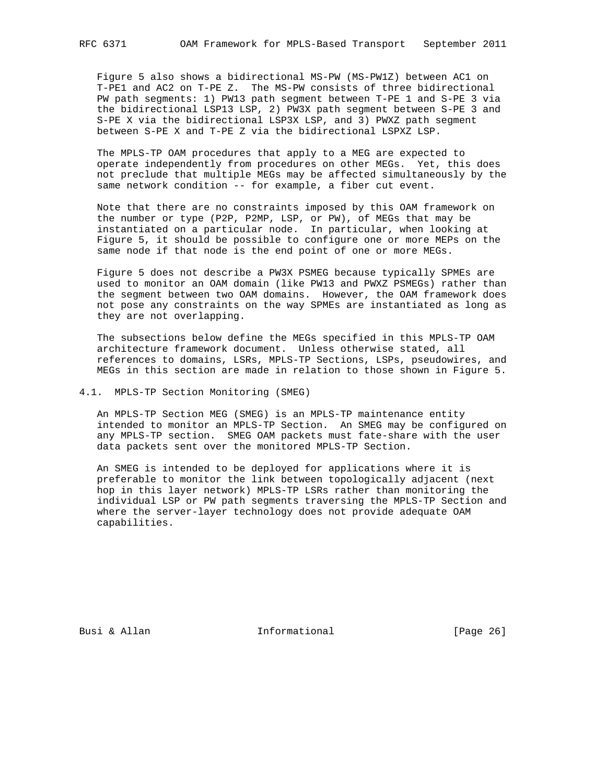Figure 5 also shows a bidirectional MS-PW (MS-PW1Z) between AC1 on T-PE1 and AC2 on T-PE Z. The MS-PW consists of three bidirectional PW path segments: 1) PW13 path segment between T-PE 1 and S-PE 3 via the bidirectional LSP13 LSP, 2) PW3X path segment between S-PE 3 and S-PE X via the bidirectional LSP3X LSP, and 3) PWXZ path segment between S-PE X and T-PE Z via the bidirectional LSPXZ LSP.

 The MPLS-TP OAM procedures that apply to a MEG are expected to operate independently from procedures on other MEGs. Yet, this does not preclude that multiple MEGs may be affected simultaneously by the same network condition -- for example, a fiber cut event.

 Note that there are no constraints imposed by this OAM framework on the number or type (P2P, P2MP, LSP, or PW), of MEGs that may be instantiated on a particular node. In particular, when looking at Figure 5, it should be possible to configure one or more MEPs on the same node if that node is the end point of one or more MEGs.

 Figure 5 does not describe a PW3X PSMEG because typically SPMEs are used to monitor an OAM domain (like PW13 and PWXZ PSMEGs) rather than the segment between two OAM domains. However, the OAM framework does not pose any constraints on the way SPMEs are instantiated as long as they are not overlapping.

 The subsections below define the MEGs specified in this MPLS-TP OAM architecture framework document. Unless otherwise stated, all references to domains, LSRs, MPLS-TP Sections, LSPs, pseudowires, and MEGs in this section are made in relation to those shown in Figure 5.

4.1. MPLS-TP Section Monitoring (SMEG)

 An MPLS-TP Section MEG (SMEG) is an MPLS-TP maintenance entity intended to monitor an MPLS-TP Section. An SMEG may be configured on any MPLS-TP section. SMEG OAM packets must fate-share with the user data packets sent over the monitored MPLS-TP Section.

 An SMEG is intended to be deployed for applications where it is preferable to monitor the link between topologically adjacent (next hop in this layer network) MPLS-TP LSRs rather than monitoring the individual LSP or PW path segments traversing the MPLS-TP Section and where the server-layer technology does not provide adequate OAM capabilities.

Busi & Allan **Informational** [Page 26]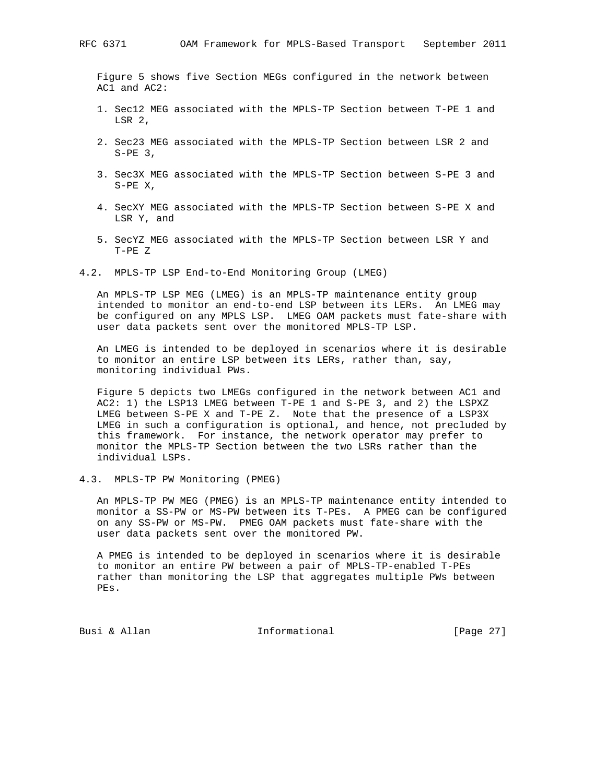Figure 5 shows five Section MEGs configured in the network between AC1 and AC2:

- 1. Sec12 MEG associated with the MPLS-TP Section between T-PE 1 and LSR 2,
- 2. Sec23 MEG associated with the MPLS-TP Section between LSR 2 and  $S-PE$  3,
- 3. Sec3X MEG associated with the MPLS-TP Section between S-PE 3 and S-PE X,
- 4. SecXY MEG associated with the MPLS-TP Section between S-PE X and LSR Y, and
- 5. SecYZ MEG associated with the MPLS-TP Section between LSR Y and T-PE Z
- 4.2. MPLS-TP LSP End-to-End Monitoring Group (LMEG)

 An MPLS-TP LSP MEG (LMEG) is an MPLS-TP maintenance entity group intended to monitor an end-to-end LSP between its LERs. An LMEG may be configured on any MPLS LSP. LMEG OAM packets must fate-share with user data packets sent over the monitored MPLS-TP LSP.

 An LMEG is intended to be deployed in scenarios where it is desirable to monitor an entire LSP between its LERs, rather than, say, monitoring individual PWs.

 Figure 5 depicts two LMEGs configured in the network between AC1 and AC2: 1) the LSP13 LMEG between T-PE 1 and S-PE 3, and 2) the LSPXZ LMEG between S-PE X and T-PE Z. Note that the presence of a LSP3X LMEG in such a configuration is optional, and hence, not precluded by this framework. For instance, the network operator may prefer to monitor the MPLS-TP Section between the two LSRs rather than the individual LSPs.

4.3. MPLS-TP PW Monitoring (PMEG)

 An MPLS-TP PW MEG (PMEG) is an MPLS-TP maintenance entity intended to monitor a SS-PW or MS-PW between its T-PEs. A PMEG can be configured on any SS-PW or MS-PW. PMEG OAM packets must fate-share with the user data packets sent over the monitored PW.

 A PMEG is intended to be deployed in scenarios where it is desirable to monitor an entire PW between a pair of MPLS-TP-enabled T-PEs rather than monitoring the LSP that aggregates multiple PWs between PEs.

Busi & Allan **Informational** [Page 27]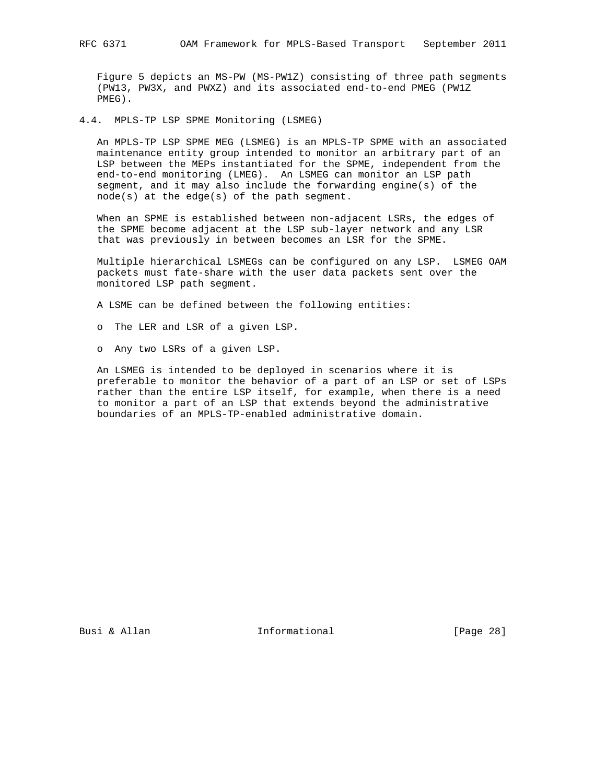Figure 5 depicts an MS-PW (MS-PW1Z) consisting of three path segments (PW13, PW3X, and PWXZ) and its associated end-to-end PMEG (PW1Z PMEG).

4.4. MPLS-TP LSP SPME Monitoring (LSMEG)

 An MPLS-TP LSP SPME MEG (LSMEG) is an MPLS-TP SPME with an associated maintenance entity group intended to monitor an arbitrary part of an LSP between the MEPs instantiated for the SPME, independent from the end-to-end monitoring (LMEG). An LSMEG can monitor an LSP path segment, and it may also include the forwarding engine(s) of the node(s) at the edge(s) of the path segment.

 When an SPME is established between non-adjacent LSRs, the edges of the SPME become adjacent at the LSP sub-layer network and any LSR that was previously in between becomes an LSR for the SPME.

 Multiple hierarchical LSMEGs can be configured on any LSP. LSMEG OAM packets must fate-share with the user data packets sent over the monitored LSP path segment.

A LSME can be defined between the following entities:

- o The LER and LSR of a given LSP.
- o Any two LSRs of a given LSP.

 An LSMEG is intended to be deployed in scenarios where it is preferable to monitor the behavior of a part of an LSP or set of LSPs rather than the entire LSP itself, for example, when there is a need to monitor a part of an LSP that extends beyond the administrative boundaries of an MPLS-TP-enabled administrative domain.

Busi & Allan **Informational** [Page 28]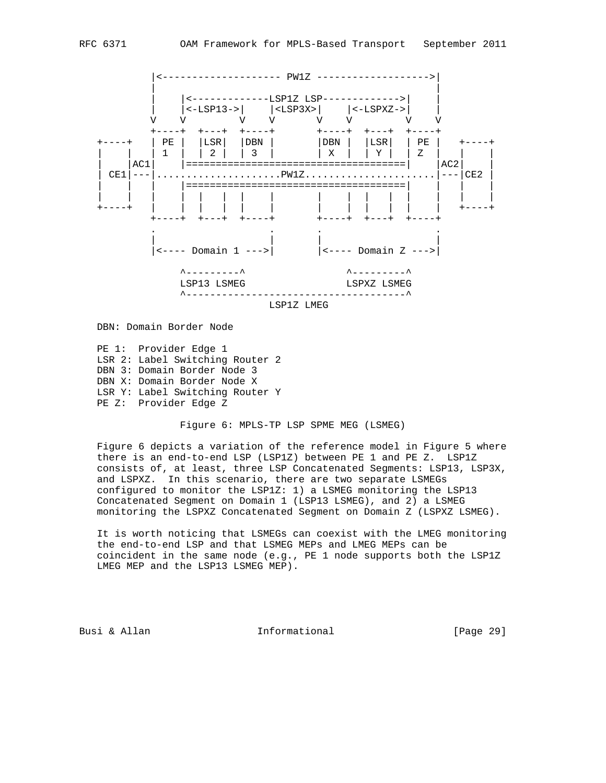

DBN: Domain Border Node

 PE 1: Provider Edge 1 LSR 2: Label Switching Router 2 DBN 3: Domain Border Node 3 DBN X: Domain Border Node X LSR Y: Label Switching Router Y PE Z: Provider Edge Z

Figure 6: MPLS-TP LSP SPME MEG (LSMEG)

 Figure 6 depicts a variation of the reference model in Figure 5 where there is an end-to-end LSP (LSP1Z) between PE 1 and PE Z. LSP1Z consists of, at least, three LSP Concatenated Segments: LSP13, LSP3X, and LSPXZ. In this scenario, there are two separate LSMEGs configured to monitor the LSP1Z: 1) a LSMEG monitoring the LSP13 Concatenated Segment on Domain 1 (LSP13 LSMEG), and 2) a LSMEG monitoring the LSPXZ Concatenated Segment on Domain Z (LSPXZ LSMEG).

 It is worth noticing that LSMEGs can coexist with the LMEG monitoring the end-to-end LSP and that LSMEG MEPs and LMEG MEPs can be coincident in the same node (e.g., PE 1 node supports both the LSP1Z LMEG MEP and the LSP13 LSMEG MEP).

Busi & Allan Informational [Page 29]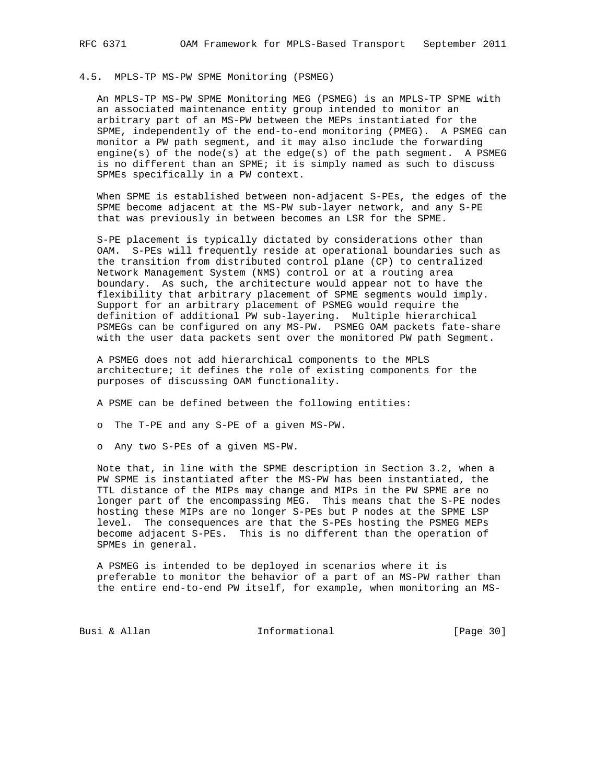## 4.5. MPLS-TP MS-PW SPME Monitoring (PSMEG)

 An MPLS-TP MS-PW SPME Monitoring MEG (PSMEG) is an MPLS-TP SPME with an associated maintenance entity group intended to monitor an arbitrary part of an MS-PW between the MEPs instantiated for the SPME, independently of the end-to-end monitoring (PMEG). A PSMEG can monitor a PW path segment, and it may also include the forwarding engine(s) of the node(s) at the edge(s) of the path segment. A PSMEG is no different than an SPME; it is simply named as such to discuss SPMEs specifically in a PW context.

 When SPME is established between non-adjacent S-PEs, the edges of the SPME become adjacent at the MS-PW sub-layer network, and any S-PE that was previously in between becomes an LSR for the SPME.

 S-PE placement is typically dictated by considerations other than OAM. S-PEs will frequently reside at operational boundaries such as the transition from distributed control plane (CP) to centralized Network Management System (NMS) control or at a routing area boundary. As such, the architecture would appear not to have the flexibility that arbitrary placement of SPME segments would imply. Support for an arbitrary placement of PSMEG would require the definition of additional PW sub-layering. Multiple hierarchical PSMEGs can be configured on any MS-PW. PSMEG OAM packets fate-share with the user data packets sent over the monitored PW path Segment.

 A PSMEG does not add hierarchical components to the MPLS architecture; it defines the role of existing components for the purposes of discussing OAM functionality.

A PSME can be defined between the following entities:

o The T-PE and any S-PE of a given MS-PW.

o Any two S-PEs of a given MS-PW.

 Note that, in line with the SPME description in Section 3.2, when a PW SPME is instantiated after the MS-PW has been instantiated, the TTL distance of the MIPs may change and MIPs in the PW SPME are no longer part of the encompassing MEG. This means that the S-PE nodes hosting these MIPs are no longer S-PEs but P nodes at the SPME LSP level. The consequences are that the S-PEs hosting the PSMEG MEPs become adjacent S-PEs. This is no different than the operation of SPMEs in general.

 A PSMEG is intended to be deployed in scenarios where it is preferable to monitor the behavior of a part of an MS-PW rather than the entire end-to-end PW itself, for example, when monitoring an MS-

Busi & Allan **Informational** [Page 30]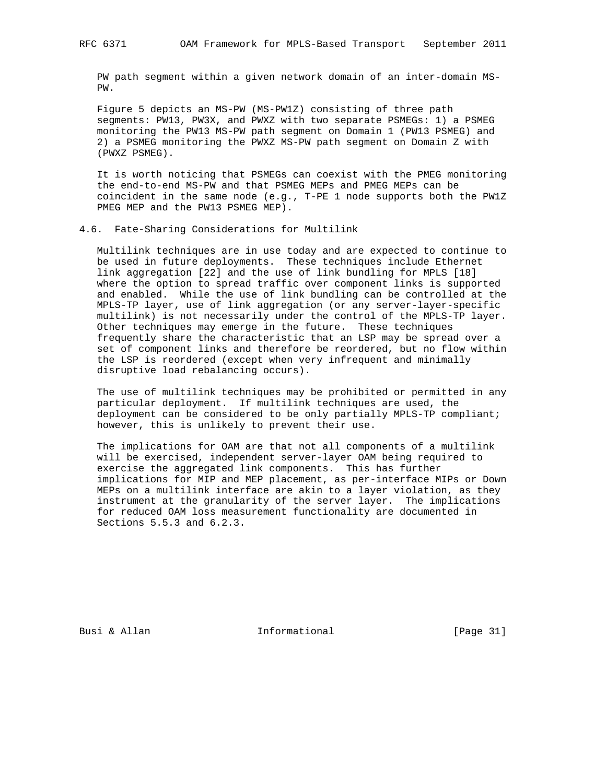PW path segment within a given network domain of an inter-domain MS- PW.

 Figure 5 depicts an MS-PW (MS-PW1Z) consisting of three path segments: PW13, PW3X, and PWXZ with two separate PSMEGs: 1) a PSMEG monitoring the PW13 MS-PW path segment on Domain 1 (PW13 PSMEG) and 2) a PSMEG monitoring the PWXZ MS-PW path segment on Domain Z with (PWXZ PSMEG).

 It is worth noticing that PSMEGs can coexist with the PMEG monitoring the end-to-end MS-PW and that PSMEG MEPs and PMEG MEPs can be coincident in the same node (e.g., T-PE 1 node supports both the PW1Z PMEG MEP and the PW13 PSMEG MEP).

#### 4.6. Fate-Sharing Considerations for Multilink

 Multilink techniques are in use today and are expected to continue to be used in future deployments. These techniques include Ethernet link aggregation [22] and the use of link bundling for MPLS [18] where the option to spread traffic over component links is supported and enabled. While the use of link bundling can be controlled at the MPLS-TP layer, use of link aggregation (or any server-layer-specific multilink) is not necessarily under the control of the MPLS-TP layer. Other techniques may emerge in the future. These techniques frequently share the characteristic that an LSP may be spread over a set of component links and therefore be reordered, but no flow within the LSP is reordered (except when very infrequent and minimally disruptive load rebalancing occurs).

 The use of multilink techniques may be prohibited or permitted in any particular deployment. If multilink techniques are used, the deployment can be considered to be only partially MPLS-TP compliant; however, this is unlikely to prevent their use.

 The implications for OAM are that not all components of a multilink will be exercised, independent server-layer OAM being required to exercise the aggregated link components. This has further implications for MIP and MEP placement, as per-interface MIPs or Down MEPs on a multilink interface are akin to a layer violation, as they instrument at the granularity of the server layer. The implications for reduced OAM loss measurement functionality are documented in Sections 5.5.3 and 6.2.3.

Busi & Allan **Informational** [Page 31]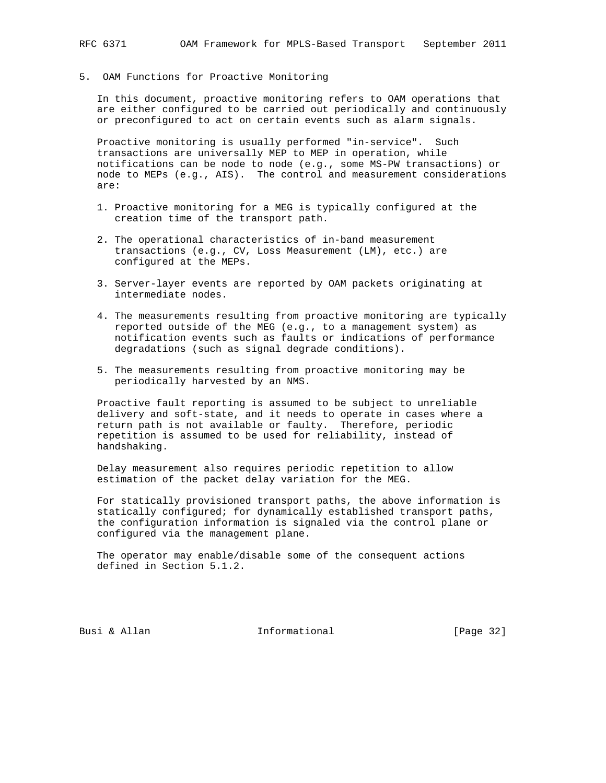## 5. OAM Functions for Proactive Monitoring

 In this document, proactive monitoring refers to OAM operations that are either configured to be carried out periodically and continuously or preconfigured to act on certain events such as alarm signals.

 Proactive monitoring is usually performed "in-service". Such transactions are universally MEP to MEP in operation, while notifications can be node to node (e.g., some MS-PW transactions) or node to MEPs (e.g., AIS). The control and measurement considerations are:

- 1. Proactive monitoring for a MEG is typically configured at the creation time of the transport path.
- 2. The operational characteristics of in-band measurement transactions (e.g., CV, Loss Measurement (LM), etc.) are configured at the MEPs.
- 3. Server-layer events are reported by OAM packets originating at intermediate nodes.
- 4. The measurements resulting from proactive monitoring are typically reported outside of the MEG (e.g., to a management system) as notification events such as faults or indications of performance degradations (such as signal degrade conditions).
- 5. The measurements resulting from proactive monitoring may be periodically harvested by an NMS.

 Proactive fault reporting is assumed to be subject to unreliable delivery and soft-state, and it needs to operate in cases where a return path is not available or faulty. Therefore, periodic repetition is assumed to be used for reliability, instead of handshaking.

 Delay measurement also requires periodic repetition to allow estimation of the packet delay variation for the MEG.

 For statically provisioned transport paths, the above information is statically configured; for dynamically established transport paths, the configuration information is signaled via the control plane or configured via the management plane.

 The operator may enable/disable some of the consequent actions defined in Section 5.1.2.

Busi & Allan **Informational** [Page 32]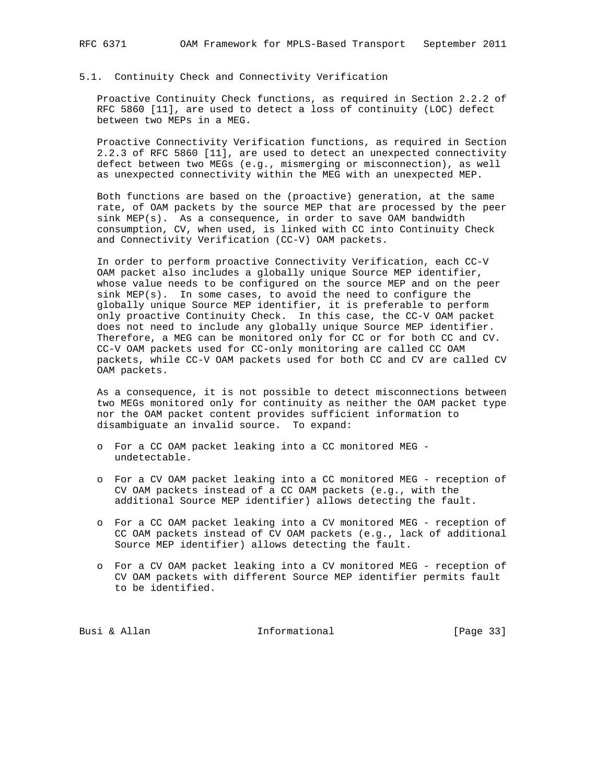#### 5.1. Continuity Check and Connectivity Verification

 Proactive Continuity Check functions, as required in Section 2.2.2 of RFC 5860 [11], are used to detect a loss of continuity (LOC) defect between two MEPs in a MEG.

 Proactive Connectivity Verification functions, as required in Section 2.2.3 of RFC 5860 [11], are used to detect an unexpected connectivity defect between two MEGs (e.g., mismerging or misconnection), as well as unexpected connectivity within the MEG with an unexpected MEP.

 Both functions are based on the (proactive) generation, at the same rate, of OAM packets by the source MEP that are processed by the peer sink MEP(s). As a consequence, in order to save OAM bandwidth consumption, CV, when used, is linked with CC into Continuity Check and Connectivity Verification (CC-V) OAM packets.

 In order to perform proactive Connectivity Verification, each CC-V OAM packet also includes a globally unique Source MEP identifier, whose value needs to be configured on the source MEP and on the peer sink MEP(s). In some cases, to avoid the need to configure the globally unique Source MEP identifier, it is preferable to perform only proactive Continuity Check. In this case, the CC-V OAM packet does not need to include any globally unique Source MEP identifier. Therefore, a MEG can be monitored only for CC or for both CC and CV. CC-V OAM packets used for CC-only monitoring are called CC OAM packets, while CC-V OAM packets used for both CC and CV are called CV OAM packets.

 As a consequence, it is not possible to detect misconnections between two MEGs monitored only for continuity as neither the OAM packet type nor the OAM packet content provides sufficient information to disambiguate an invalid source. To expand:

- o For a CC OAM packet leaking into a CC monitored MEG undetectable.
- o For a CV OAM packet leaking into a CC monitored MEG reception of CV OAM packets instead of a CC OAM packets (e.g., with the additional Source MEP identifier) allows detecting the fault.
- o For a CC OAM packet leaking into a CV monitored MEG reception of CC OAM packets instead of CV OAM packets (e.g., lack of additional Source MEP identifier) allows detecting the fault.
- o For a CV OAM packet leaking into a CV monitored MEG reception of CV OAM packets with different Source MEP identifier permits fault to be identified.

Busi & Allan **Informational** [Page 33]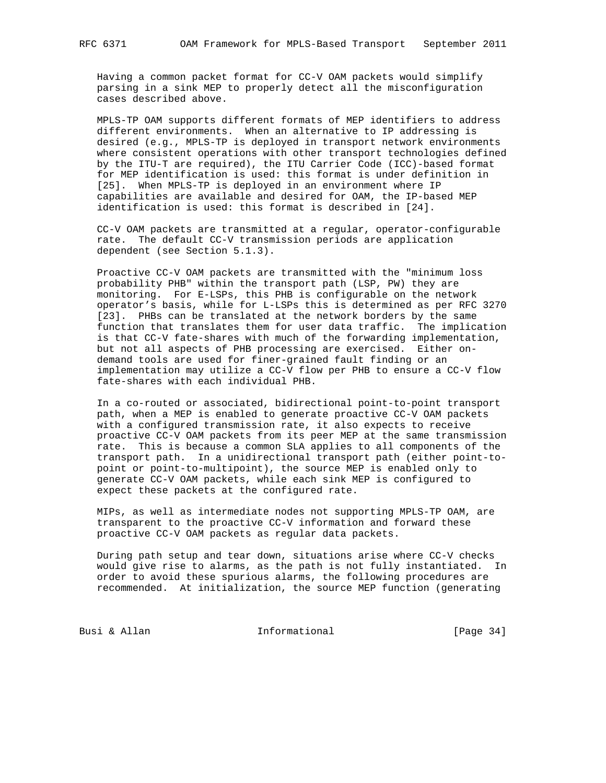Having a common packet format for CC-V OAM packets would simplify parsing in a sink MEP to properly detect all the misconfiguration cases described above.

 MPLS-TP OAM supports different formats of MEP identifiers to address different environments. When an alternative to IP addressing is desired (e.g., MPLS-TP is deployed in transport network environments where consistent operations with other transport technologies defined by the ITU-T are required), the ITU Carrier Code (ICC)-based format for MEP identification is used: this format is under definition in [25]. When MPLS-TP is deployed in an environment where IP capabilities are available and desired for OAM, the IP-based MEP identification is used: this format is described in [24].

 CC-V OAM packets are transmitted at a regular, operator-configurable rate. The default CC-V transmission periods are application dependent (see Section 5.1.3).

 Proactive CC-V OAM packets are transmitted with the "minimum loss probability PHB" within the transport path (LSP, PW) they are monitoring. For E-LSPs, this PHB is configurable on the network operator's basis, while for L-LSPs this is determined as per RFC 3270 [23]. PHBs can be translated at the network borders by the same function that translates them for user data traffic. The implication is that CC-V fate-shares with much of the forwarding implementation, but not all aspects of PHB processing are exercised. Either on demand tools are used for finer-grained fault finding or an implementation may utilize a CC-V flow per PHB to ensure a CC-V flow fate-shares with each individual PHB.

 In a co-routed or associated, bidirectional point-to-point transport path, when a MEP is enabled to generate proactive CC-V OAM packets with a configured transmission rate, it also expects to receive proactive CC-V OAM packets from its peer MEP at the same transmission rate. This is because a common SLA applies to all components of the transport path. In a unidirectional transport path (either point-to point or point-to-multipoint), the source MEP is enabled only to generate CC-V OAM packets, while each sink MEP is configured to expect these packets at the configured rate.

 MIPs, as well as intermediate nodes not supporting MPLS-TP OAM, are transparent to the proactive CC-V information and forward these proactive CC-V OAM packets as regular data packets.

 During path setup and tear down, situations arise where CC-V checks would give rise to alarms, as the path is not fully instantiated. In order to avoid these spurious alarms, the following procedures are recommended. At initialization, the source MEP function (generating

Busi & Allan **Informational** [Page 34]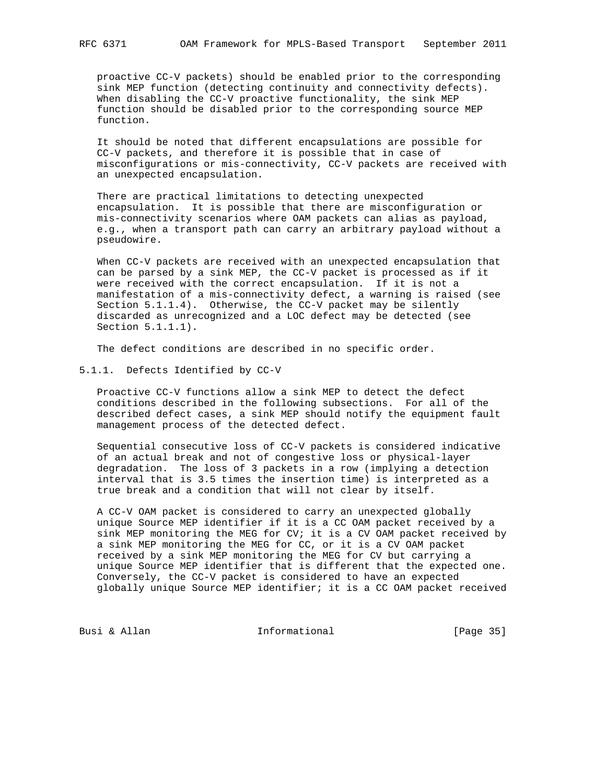proactive CC-V packets) should be enabled prior to the corresponding sink MEP function (detecting continuity and connectivity defects). When disabling the CC-V proactive functionality, the sink MEP function should be disabled prior to the corresponding source MEP function.

 It should be noted that different encapsulations are possible for CC-V packets, and therefore it is possible that in case of misconfigurations or mis-connectivity, CC-V packets are received with an unexpected encapsulation.

 There are practical limitations to detecting unexpected encapsulation. It is possible that there are misconfiguration or mis-connectivity scenarios where OAM packets can alias as payload, e.g., when a transport path can carry an arbitrary payload without a pseudowire.

 When CC-V packets are received with an unexpected encapsulation that can be parsed by a sink MEP, the CC-V packet is processed as if it were received with the correct encapsulation. If it is not a manifestation of a mis-connectivity defect, a warning is raised (see Section 5.1.1.4). Otherwise, the CC-V packet may be silently discarded as unrecognized and a LOC defect may be detected (see Section 5.1.1.1).

The defect conditions are described in no specific order.

#### 5.1.1. Defects Identified by CC-V

 Proactive CC-V functions allow a sink MEP to detect the defect conditions described in the following subsections. For all of the described defect cases, a sink MEP should notify the equipment fault management process of the detected defect.

 Sequential consecutive loss of CC-V packets is considered indicative of an actual break and not of congestive loss or physical-layer degradation. The loss of 3 packets in a row (implying a detection interval that is 3.5 times the insertion time) is interpreted as a true break and a condition that will not clear by itself.

 A CC-V OAM packet is considered to carry an unexpected globally unique Source MEP identifier if it is a CC OAM packet received by a sink MEP monitoring the MEG for CV; it is a CV OAM packet received by a sink MEP monitoring the MEG for CC, or it is a CV OAM packet received by a sink MEP monitoring the MEG for CV but carrying a unique Source MEP identifier that is different that the expected one. Conversely, the CC-V packet is considered to have an expected globally unique Source MEP identifier; it is a CC OAM packet received

Busi & Allan **Informational** [Page 35]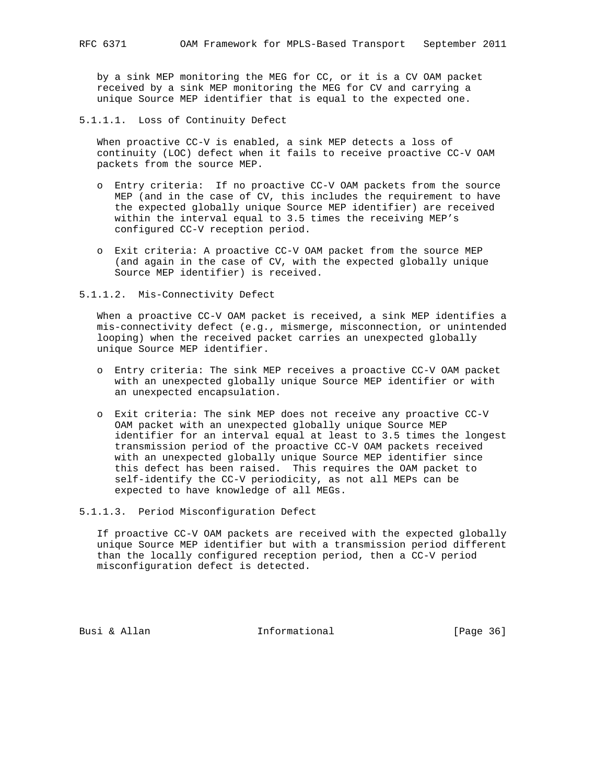by a sink MEP monitoring the MEG for CC, or it is a CV OAM packet received by a sink MEP monitoring the MEG for CV and carrying a unique Source MEP identifier that is equal to the expected one.

5.1.1.1. Loss of Continuity Defect

 When proactive CC-V is enabled, a sink MEP detects a loss of continuity (LOC) defect when it fails to receive proactive CC-V OAM packets from the source MEP.

- o Entry criteria: If no proactive CC-V OAM packets from the source MEP (and in the case of CV, this includes the requirement to have the expected globally unique Source MEP identifier) are received within the interval equal to 3.5 times the receiving MEP's configured CC-V reception period.
- o Exit criteria: A proactive CC-V OAM packet from the source MEP (and again in the case of CV, with the expected globally unique Source MEP identifier) is received.

#### 5.1.1.2. Mis-Connectivity Defect

When a proactive CC-V OAM packet is received, a sink MEP identifies a mis-connectivity defect (e.g., mismerge, misconnection, or unintended looping) when the received packet carries an unexpected globally unique Source MEP identifier.

- o Entry criteria: The sink MEP receives a proactive CC-V OAM packet with an unexpected globally unique Source MEP identifier or with an unexpected encapsulation.
- o Exit criteria: The sink MEP does not receive any proactive CC-V OAM packet with an unexpected globally unique Source MEP identifier for an interval equal at least to 3.5 times the longest transmission period of the proactive CC-V OAM packets received with an unexpected globally unique Source MEP identifier since this defect has been raised. This requires the OAM packet to self-identify the CC-V periodicity, as not all MEPs can be expected to have knowledge of all MEGs.
- 5.1.1.3. Period Misconfiguration Defect

 If proactive CC-V OAM packets are received with the expected globally unique Source MEP identifier but with a transmission period different than the locally configured reception period, then a CC-V period misconfiguration defect is detected.

Busi & Allan **Informational** [Page 36]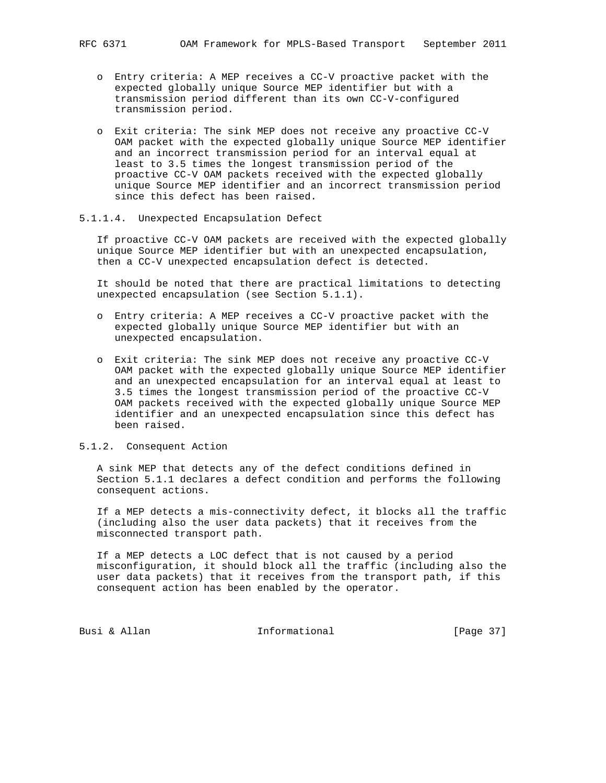- o Entry criteria: A MEP receives a CC-V proactive packet with the expected globally unique Source MEP identifier but with a transmission period different than its own CC-V-configured transmission period.
- o Exit criteria: The sink MEP does not receive any proactive CC-V OAM packet with the expected globally unique Source MEP identifier and an incorrect transmission period for an interval equal at least to 3.5 times the longest transmission period of the proactive CC-V OAM packets received with the expected globally unique Source MEP identifier and an incorrect transmission period since this defect has been raised.

### 5.1.1.4. Unexpected Encapsulation Defect

 If proactive CC-V OAM packets are received with the expected globally unique Source MEP identifier but with an unexpected encapsulation, then a CC-V unexpected encapsulation defect is detected.

 It should be noted that there are practical limitations to detecting unexpected encapsulation (see Section 5.1.1).

- o Entry criteria: A MEP receives a CC-V proactive packet with the expected globally unique Source MEP identifier but with an unexpected encapsulation.
- o Exit criteria: The sink MEP does not receive any proactive CC-V OAM packet with the expected globally unique Source MEP identifier and an unexpected encapsulation for an interval equal at least to 3.5 times the longest transmission period of the proactive CC-V OAM packets received with the expected globally unique Source MEP identifier and an unexpected encapsulation since this defect has been raised.

## 5.1.2. Consequent Action

 A sink MEP that detects any of the defect conditions defined in Section 5.1.1 declares a defect condition and performs the following consequent actions.

 If a MEP detects a mis-connectivity defect, it blocks all the traffic (including also the user data packets) that it receives from the misconnected transport path.

 If a MEP detects a LOC defect that is not caused by a period misconfiguration, it should block all the traffic (including also the user data packets) that it receives from the transport path, if this consequent action has been enabled by the operator.

Busi & Allan  $I_n$  Informational [Page 37]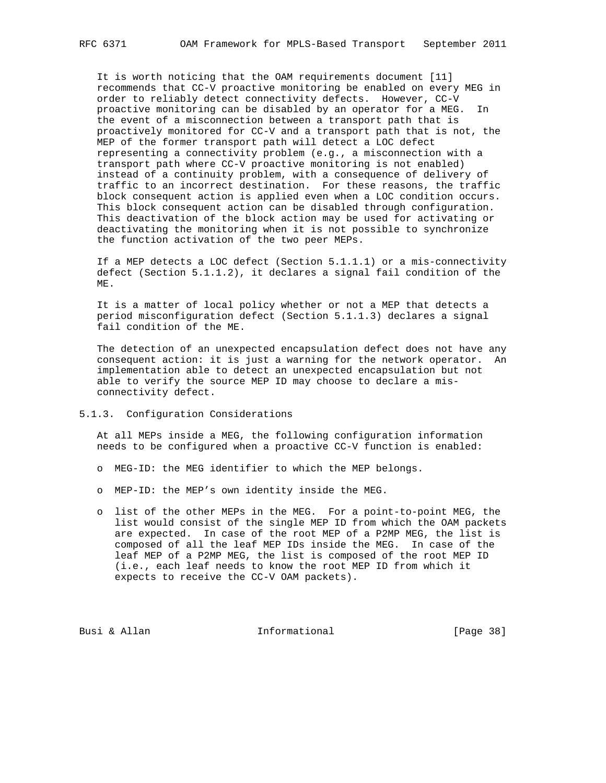It is worth noticing that the OAM requirements document [11] recommends that CC-V proactive monitoring be enabled on every MEG in order to reliably detect connectivity defects. However, CC-V proactive monitoring can be disabled by an operator for a MEG. In the event of a misconnection between a transport path that is proactively monitored for CC-V and a transport path that is not, the MEP of the former transport path will detect a LOC defect representing a connectivity problem (e.g., a misconnection with a transport path where CC-V proactive monitoring is not enabled) instead of a continuity problem, with a consequence of delivery of traffic to an incorrect destination. For these reasons, the traffic block consequent action is applied even when a LOC condition occurs. This block consequent action can be disabled through configuration. This deactivation of the block action may be used for activating or deactivating the monitoring when it is not possible to synchronize the function activation of the two peer MEPs.

 If a MEP detects a LOC defect (Section 5.1.1.1) or a mis-connectivity defect (Section 5.1.1.2), it declares a signal fail condition of the ME.

 It is a matter of local policy whether or not a MEP that detects a period misconfiguration defect (Section 5.1.1.3) declares a signal fail condition of the ME.

 The detection of an unexpected encapsulation defect does not have any consequent action: it is just a warning for the network operator. An implementation able to detect an unexpected encapsulation but not able to verify the source MEP ID may choose to declare a mis connectivity defect.

#### 5.1.3. Configuration Considerations

 At all MEPs inside a MEG, the following configuration information needs to be configured when a proactive CC-V function is enabled:

- o MEG-ID: the MEG identifier to which the MEP belongs.
- o MEP-ID: the MEP's own identity inside the MEG.
- o list of the other MEPs in the MEG. For a point-to-point MEG, the list would consist of the single MEP ID from which the OAM packets are expected. In case of the root MEP of a P2MP MEG, the list is composed of all the leaf MEP IDs inside the MEG. In case of the leaf MEP of a P2MP MEG, the list is composed of the root MEP ID (i.e., each leaf needs to know the root MEP ID from which it expects to receive the CC-V OAM packets).

Busi & Allan **Informational** [Page 38]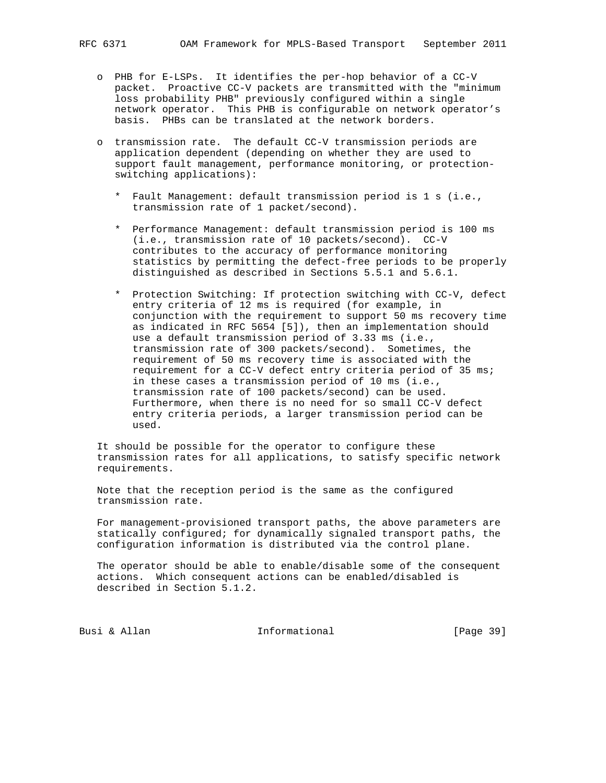- o transmission rate. The default CC-V transmission periods are application dependent (depending on whether they are used to support fault management, performance monitoring, or protection switching applications):
	- \* Fault Management: default transmission period is 1 s (i.e., transmission rate of 1 packet/second).
	- \* Performance Management: default transmission period is 100 ms (i.e., transmission rate of 10 packets/second). CC-V contributes to the accuracy of performance monitoring statistics by permitting the defect-free periods to be properly distinguished as described in Sections 5.5.1 and 5.6.1.
	- \* Protection Switching: If protection switching with CC-V, defect entry criteria of 12 ms is required (for example, in conjunction with the requirement to support 50 ms recovery time as indicated in RFC 5654 [5]), then an implementation should use a default transmission period of 3.33 ms (i.e., transmission rate of 300 packets/second). Sometimes, the requirement of 50 ms recovery time is associated with the requirement for a CC-V defect entry criteria period of 35 ms; in these cases a transmission period of 10 ms (i.e., transmission rate of 100 packets/second) can be used. Furthermore, when there is no need for so small CC-V defect entry criteria periods, a larger transmission period can be used.

 It should be possible for the operator to configure these transmission rates for all applications, to satisfy specific network requirements.

 Note that the reception period is the same as the configured transmission rate.

 For management-provisioned transport paths, the above parameters are statically configured; for dynamically signaled transport paths, the configuration information is distributed via the control plane.

 The operator should be able to enable/disable some of the consequent actions. Which consequent actions can be enabled/disabled is described in Section 5.1.2.

Busi & Allan Informational [Page 39]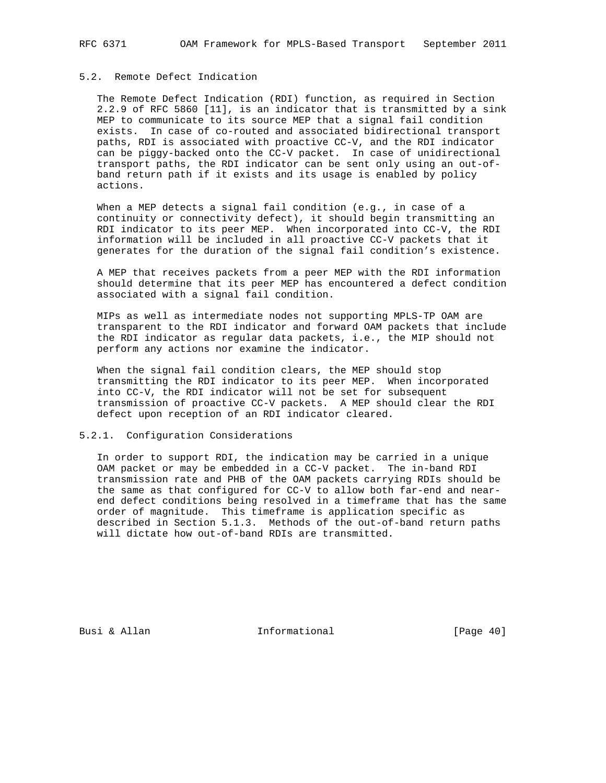## 5.2. Remote Defect Indication

 The Remote Defect Indication (RDI) function, as required in Section 2.2.9 of RFC 5860 [11], is an indicator that is transmitted by a sink MEP to communicate to its source MEP that a signal fail condition exists. In case of co-routed and associated bidirectional transport paths, RDI is associated with proactive CC-V, and the RDI indicator can be piggy-backed onto the CC-V packet. In case of unidirectional transport paths, the RDI indicator can be sent only using an out-of band return path if it exists and its usage is enabled by policy actions.

 When a MEP detects a signal fail condition (e.g., in case of a continuity or connectivity defect), it should begin transmitting an RDI indicator to its peer MEP. When incorporated into CC-V, the RDI information will be included in all proactive CC-V packets that it generates for the duration of the signal fail condition's existence.

 A MEP that receives packets from a peer MEP with the RDI information should determine that its peer MEP has encountered a defect condition associated with a signal fail condition.

 MIPs as well as intermediate nodes not supporting MPLS-TP OAM are transparent to the RDI indicator and forward OAM packets that include the RDI indicator as regular data packets, i.e., the MIP should not perform any actions nor examine the indicator.

 When the signal fail condition clears, the MEP should stop transmitting the RDI indicator to its peer MEP. When incorporated into CC-V, the RDI indicator will not be set for subsequent transmission of proactive CC-V packets. A MEP should clear the RDI defect upon reception of an RDI indicator cleared.

#### 5.2.1. Configuration Considerations

 In order to support RDI, the indication may be carried in a unique OAM packet or may be embedded in a CC-V packet. The in-band RDI transmission rate and PHB of the OAM packets carrying RDIs should be the same as that configured for CC-V to allow both far-end and near end defect conditions being resolved in a timeframe that has the same order of magnitude. This timeframe is application specific as described in Section 5.1.3. Methods of the out-of-band return paths will dictate how out-of-band RDIs are transmitted.

Busi & Allan  $I_n$  Informational [Page 40]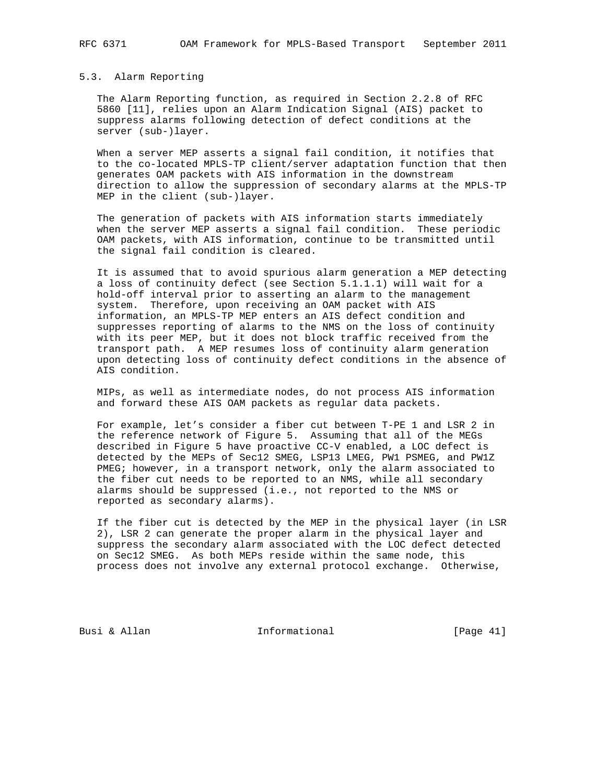#### 5.3. Alarm Reporting

 The Alarm Reporting function, as required in Section 2.2.8 of RFC 5860 [11], relies upon an Alarm Indication Signal (AIS) packet to suppress alarms following detection of defect conditions at the server (sub-)layer.

 When a server MEP asserts a signal fail condition, it notifies that to the co-located MPLS-TP client/server adaptation function that then generates OAM packets with AIS information in the downstream direction to allow the suppression of secondary alarms at the MPLS-TP MEP in the client (sub-)layer.

 The generation of packets with AIS information starts immediately when the server MEP asserts a signal fail condition. These periodic OAM packets, with AIS information, continue to be transmitted until the signal fail condition is cleared.

 It is assumed that to avoid spurious alarm generation a MEP detecting a loss of continuity defect (see Section 5.1.1.1) will wait for a hold-off interval prior to asserting an alarm to the management system. Therefore, upon receiving an OAM packet with AIS information, an MPLS-TP MEP enters an AIS defect condition and suppresses reporting of alarms to the NMS on the loss of continuity with its peer MEP, but it does not block traffic received from the transport path. A MEP resumes loss of continuity alarm generation upon detecting loss of continuity defect conditions in the absence of AIS condition.

 MIPs, as well as intermediate nodes, do not process AIS information and forward these AIS OAM packets as regular data packets.

 For example, let's consider a fiber cut between T-PE 1 and LSR 2 in the reference network of Figure 5. Assuming that all of the MEGs described in Figure 5 have proactive CC-V enabled, a LOC defect is detected by the MEPs of Sec12 SMEG, LSP13 LMEG, PW1 PSMEG, and PW1Z PMEG; however, in a transport network, only the alarm associated to the fiber cut needs to be reported to an NMS, while all secondary alarms should be suppressed (i.e., not reported to the NMS or reported as secondary alarms).

 If the fiber cut is detected by the MEP in the physical layer (in LSR 2), LSR 2 can generate the proper alarm in the physical layer and suppress the secondary alarm associated with the LOC defect detected on Sec12 SMEG. As both MEPs reside within the same node, this process does not involve any external protocol exchange. Otherwise,

Busi & Allan **Informational** [Page 41]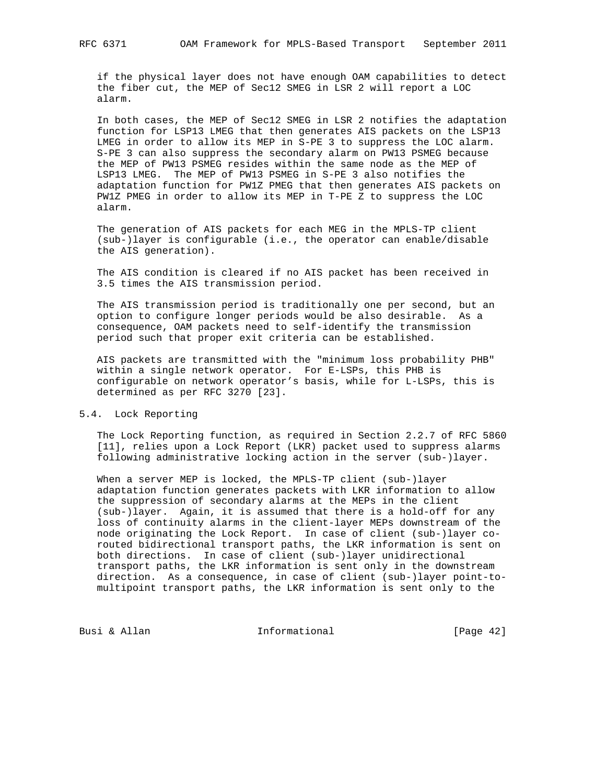if the physical layer does not have enough OAM capabilities to detect the fiber cut, the MEP of Sec12 SMEG in LSR 2 will report a LOC alarm.

 In both cases, the MEP of Sec12 SMEG in LSR 2 notifies the adaptation function for LSP13 LMEG that then generates AIS packets on the LSP13 LMEG in order to allow its MEP in S-PE 3 to suppress the LOC alarm. S-PE 3 can also suppress the secondary alarm on PW13 PSMEG because the MEP of PW13 PSMEG resides within the same node as the MEP of LSP13 LMEG. The MEP of PW13 PSMEG in S-PE 3 also notifies the adaptation function for PW1Z PMEG that then generates AIS packets on PW1Z PMEG in order to allow its MEP in T-PE Z to suppress the LOC alarm.

 The generation of AIS packets for each MEG in the MPLS-TP client (sub-)layer is configurable (i.e., the operator can enable/disable the AIS generation).

 The AIS condition is cleared if no AIS packet has been received in 3.5 times the AIS transmission period.

 The AIS transmission period is traditionally one per second, but an option to configure longer periods would be also desirable. As a consequence, OAM packets need to self-identify the transmission period such that proper exit criteria can be established.

 AIS packets are transmitted with the "minimum loss probability PHB" within a single network operator. For E-LSPs, this PHB is configurable on network operator's basis, while for L-LSPs, this is determined as per RFC 3270 [23].

### 5.4. Lock Reporting

 The Lock Reporting function, as required in Section 2.2.7 of RFC 5860 [11], relies upon a Lock Report (LKR) packet used to suppress alarms following administrative locking action in the server (sub-)layer.

 When a server MEP is locked, the MPLS-TP client (sub-)layer adaptation function generates packets with LKR information to allow the suppression of secondary alarms at the MEPs in the client (sub-)layer. Again, it is assumed that there is a hold-off for any loss of continuity alarms in the client-layer MEPs downstream of the node originating the Lock Report. In case of client (sub-)layer co routed bidirectional transport paths, the LKR information is sent on both directions. In case of client (sub-)layer unidirectional transport paths, the LKR information is sent only in the downstream direction. As a consequence, in case of client (sub-)layer point-to multipoint transport paths, the LKR information is sent only to the

Busi & Allan **Informational** [Page 42]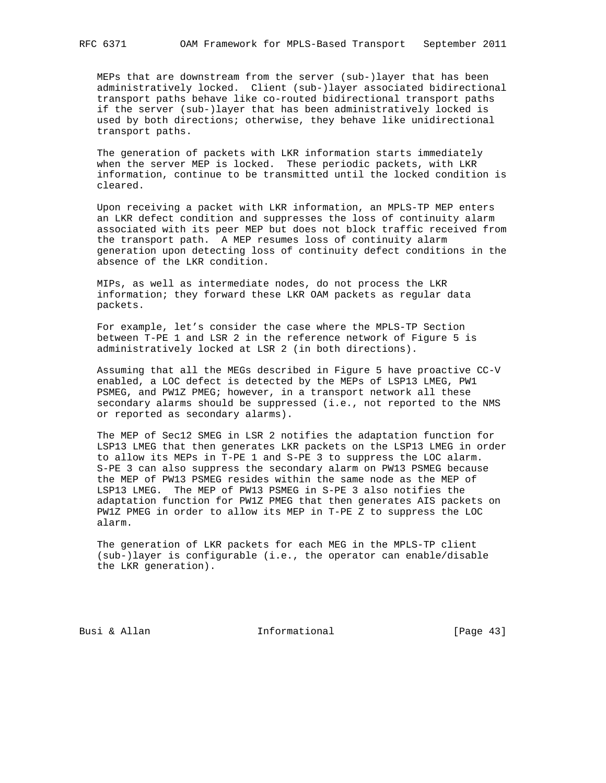MEPs that are downstream from the server (sub-)layer that has been administratively locked. Client (sub-)layer associated bidirectional transport paths behave like co-routed bidirectional transport paths if the server (sub-)layer that has been administratively locked is used by both directions; otherwise, they behave like unidirectional transport paths.

 The generation of packets with LKR information starts immediately when the server MEP is locked. These periodic packets, with LKR information, continue to be transmitted until the locked condition is cleared.

 Upon receiving a packet with LKR information, an MPLS-TP MEP enters an LKR defect condition and suppresses the loss of continuity alarm associated with its peer MEP but does not block traffic received from the transport path. A MEP resumes loss of continuity alarm generation upon detecting loss of continuity defect conditions in the absence of the LKR condition.

 MIPs, as well as intermediate nodes, do not process the LKR information; they forward these LKR OAM packets as regular data packets.

 For example, let's consider the case where the MPLS-TP Section between T-PE 1 and LSR 2 in the reference network of Figure 5 is administratively locked at LSR 2 (in both directions).

 Assuming that all the MEGs described in Figure 5 have proactive CC-V enabled, a LOC defect is detected by the MEPs of LSP13 LMEG, PW1 PSMEG, and PW1Z PMEG; however, in a transport network all these secondary alarms should be suppressed (i.e., not reported to the NMS or reported as secondary alarms).

 The MEP of Sec12 SMEG in LSR 2 notifies the adaptation function for LSP13 LMEG that then generates LKR packets on the LSP13 LMEG in order to allow its MEPs in T-PE 1 and S-PE 3 to suppress the LOC alarm. S-PE 3 can also suppress the secondary alarm on PW13 PSMEG because the MEP of PW13 PSMEG resides within the same node as the MEP of LSP13 LMEG. The MEP of PW13 PSMEG in S-PE 3 also notifies the adaptation function for PW1Z PMEG that then generates AIS packets on PW1Z PMEG in order to allow its MEP in T-PE Z to suppress the LOC alarm.

 The generation of LKR packets for each MEG in the MPLS-TP client (sub-)layer is configurable (i.e., the operator can enable/disable the LKR generation).

Busi & Allan **Informational** [Page 43]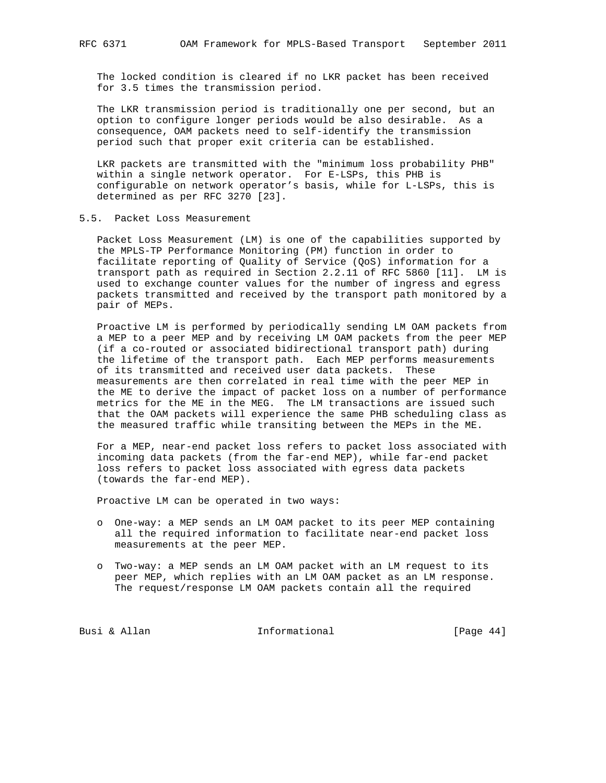The locked condition is cleared if no LKR packet has been received for 3.5 times the transmission period.

 The LKR transmission period is traditionally one per second, but an option to configure longer periods would be also desirable. As a consequence, OAM packets need to self-identify the transmission period such that proper exit criteria can be established.

 LKR packets are transmitted with the "minimum loss probability PHB" within a single network operator. For E-LSPs, this PHB is configurable on network operator's basis, while for L-LSPs, this is determined as per RFC 3270 [23].

### 5.5. Packet Loss Measurement

 Packet Loss Measurement (LM) is one of the capabilities supported by the MPLS-TP Performance Monitoring (PM) function in order to facilitate reporting of Quality of Service (QoS) information for a transport path as required in Section 2.2.11 of RFC 5860 [11]. LM is used to exchange counter values for the number of ingress and egress packets transmitted and received by the transport path monitored by a pair of MEPs.

 Proactive LM is performed by periodically sending LM OAM packets from a MEP to a peer MEP and by receiving LM OAM packets from the peer MEP (if a co-routed or associated bidirectional transport path) during the lifetime of the transport path. Each MEP performs measurements of its transmitted and received user data packets. These measurements are then correlated in real time with the peer MEP in the ME to derive the impact of packet loss on a number of performance metrics for the ME in the MEG. The LM transactions are issued such that the OAM packets will experience the same PHB scheduling class as the measured traffic while transiting between the MEPs in the ME.

 For a MEP, near-end packet loss refers to packet loss associated with incoming data packets (from the far-end MEP), while far-end packet loss refers to packet loss associated with egress data packets (towards the far-end MEP).

Proactive LM can be operated in two ways:

- o One-way: a MEP sends an LM OAM packet to its peer MEP containing all the required information to facilitate near-end packet loss measurements at the peer MEP.
- o Two-way: a MEP sends an LM OAM packet with an LM request to its peer MEP, which replies with an LM OAM packet as an LM response. The request/response LM OAM packets contain all the required

Busi & Allan **Informational** [Page 44]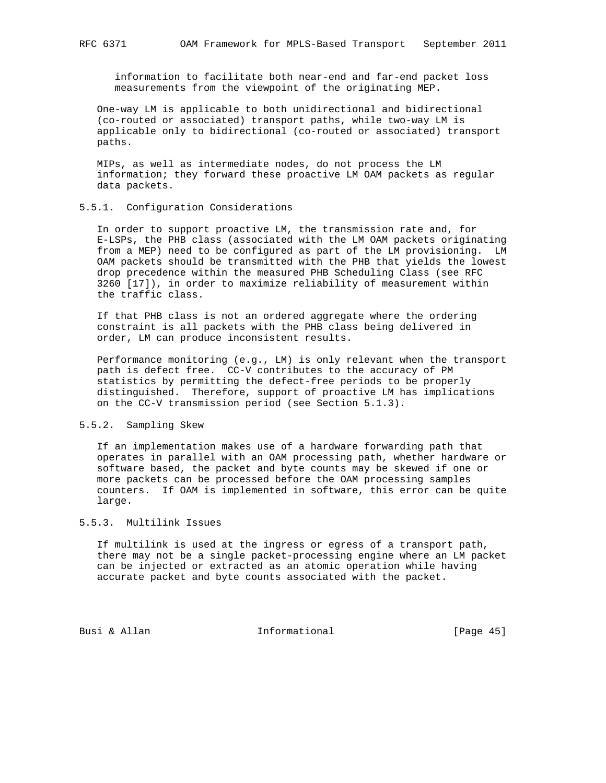information to facilitate both near-end and far-end packet loss measurements from the viewpoint of the originating MEP.

 One-way LM is applicable to both unidirectional and bidirectional (co-routed or associated) transport paths, while two-way LM is applicable only to bidirectional (co-routed or associated) transport paths.

 MIPs, as well as intermediate nodes, do not process the LM information; they forward these proactive LM OAM packets as regular data packets.

### 5.5.1. Configuration Considerations

 In order to support proactive LM, the transmission rate and, for E-LSPs, the PHB class (associated with the LM OAM packets originating from a MEP) need to be configured as part of the LM provisioning. LM OAM packets should be transmitted with the PHB that yields the lowest drop precedence within the measured PHB Scheduling Class (see RFC 3260 [17]), in order to maximize reliability of measurement within the traffic class.

 If that PHB class is not an ordered aggregate where the ordering constraint is all packets with the PHB class being delivered in order, LM can produce inconsistent results.

 Performance monitoring (e.g., LM) is only relevant when the transport path is defect free. CC-V contributes to the accuracy of PM statistics by permitting the defect-free periods to be properly distinguished. Therefore, support of proactive LM has implications on the CC-V transmission period (see Section 5.1.3).

# 5.5.2. Sampling Skew

 If an implementation makes use of a hardware forwarding path that operates in parallel with an OAM processing path, whether hardware or software based, the packet and byte counts may be skewed if one or more packets can be processed before the OAM processing samples counters. If OAM is implemented in software, this error can be quite large.

# 5.5.3. Multilink Issues

 If multilink is used at the ingress or egress of a transport path, there may not be a single packet-processing engine where an LM packet can be injected or extracted as an atomic operation while having accurate packet and byte counts associated with the packet.

Busi & Allan **Informational** [Page 45]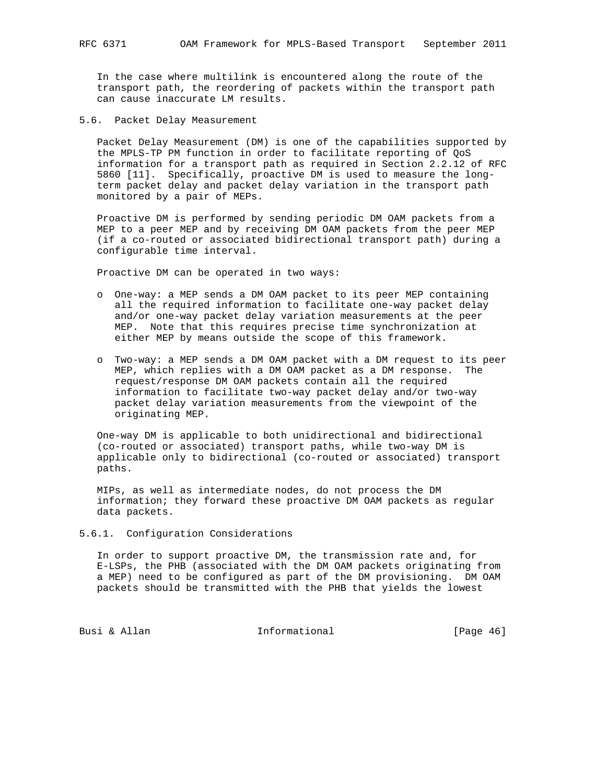In the case where multilink is encountered along the route of the transport path, the reordering of packets within the transport path can cause inaccurate LM results.

5.6. Packet Delay Measurement

 Packet Delay Measurement (DM) is one of the capabilities supported by the MPLS-TP PM function in order to facilitate reporting of QoS information for a transport path as required in Section 2.2.12 of RFC 5860 [11]. Specifically, proactive DM is used to measure the long term packet delay and packet delay variation in the transport path monitored by a pair of MEPs.

 Proactive DM is performed by sending periodic DM OAM packets from a MEP to a peer MEP and by receiving DM OAM packets from the peer MEP (if a co-routed or associated bidirectional transport path) during a configurable time interval.

Proactive DM can be operated in two ways:

- o One-way: a MEP sends a DM OAM packet to its peer MEP containing all the required information to facilitate one-way packet delay and/or one-way packet delay variation measurements at the peer MEP. Note that this requires precise time synchronization at either MEP by means outside the scope of this framework.
- o Two-way: a MEP sends a DM OAM packet with a DM request to its peer MEP, which replies with a DM OAM packet as a DM response. The request/response DM OAM packets contain all the required information to facilitate two-way packet delay and/or two-way packet delay variation measurements from the viewpoint of the originating MEP.

 One-way DM is applicable to both unidirectional and bidirectional (co-routed or associated) transport paths, while two-way DM is applicable only to bidirectional (co-routed or associated) transport paths.

 MIPs, as well as intermediate nodes, do not process the DM information; they forward these proactive DM OAM packets as regular data packets.

5.6.1. Configuration Considerations

 In order to support proactive DM, the transmission rate and, for E-LSPs, the PHB (associated with the DM OAM packets originating from a MEP) need to be configured as part of the DM provisioning. DM OAM packets should be transmitted with the PHB that yields the lowest

Busi & Allan **Informational** [Page 46]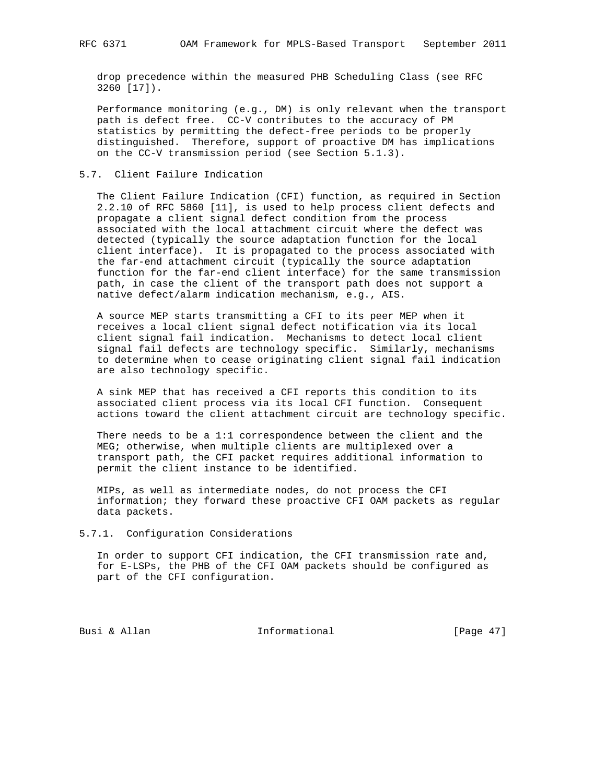drop precedence within the measured PHB Scheduling Class (see RFC 3260 [17]).

 Performance monitoring (e.g., DM) is only relevant when the transport path is defect free. CC-V contributes to the accuracy of PM statistics by permitting the defect-free periods to be properly distinguished. Therefore, support of proactive DM has implications on the CC-V transmission period (see Section 5.1.3).

### 5.7. Client Failure Indication

 The Client Failure Indication (CFI) function, as required in Section 2.2.10 of RFC 5860 [11], is used to help process client defects and propagate a client signal defect condition from the process associated with the local attachment circuit where the defect was detected (typically the source adaptation function for the local client interface). It is propagated to the process associated with the far-end attachment circuit (typically the source adaptation function for the far-end client interface) for the same transmission path, in case the client of the transport path does not support a native defect/alarm indication mechanism, e.g., AIS.

 A source MEP starts transmitting a CFI to its peer MEP when it receives a local client signal defect notification via its local client signal fail indication. Mechanisms to detect local client signal fail defects are technology specific. Similarly, mechanisms to determine when to cease originating client signal fail indication are also technology specific.

 A sink MEP that has received a CFI reports this condition to its associated client process via its local CFI function. Consequent actions toward the client attachment circuit are technology specific.

 There needs to be a 1:1 correspondence between the client and the MEG; otherwise, when multiple clients are multiplexed over a transport path, the CFI packet requires additional information to permit the client instance to be identified.

 MIPs, as well as intermediate nodes, do not process the CFI information; they forward these proactive CFI OAM packets as regular data packets.

5.7.1. Configuration Considerations

 In order to support CFI indication, the CFI transmission rate and, for E-LSPs, the PHB of the CFI OAM packets should be configured as part of the CFI configuration.

Busi & Allan **Informational** [Page 47]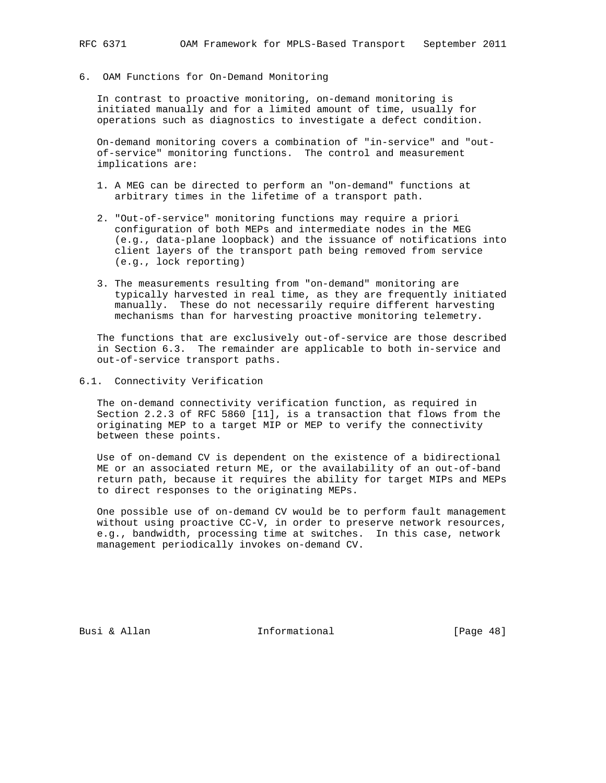In contrast to proactive monitoring, on-demand monitoring is initiated manually and for a limited amount of time, usually for operations such as diagnostics to investigate a defect condition.

 On-demand monitoring covers a combination of "in-service" and "out of-service" monitoring functions. The control and measurement implications are:

- 1. A MEG can be directed to perform an "on-demand" functions at arbitrary times in the lifetime of a transport path.
- 2. "Out-of-service" monitoring functions may require a priori configuration of both MEPs and intermediate nodes in the MEG (e.g., data-plane loopback) and the issuance of notifications into client layers of the transport path being removed from service (e.g., lock reporting)
- 3. The measurements resulting from "on-demand" monitoring are typically harvested in real time, as they are frequently initiated manually. These do not necessarily require different harvesting mechanisms than for harvesting proactive monitoring telemetry.

 The functions that are exclusively out-of-service are those described in Section 6.3. The remainder are applicable to both in-service and out-of-service transport paths.

6.1. Connectivity Verification

 The on-demand connectivity verification function, as required in Section 2.2.3 of RFC 5860 [11], is a transaction that flows from the originating MEP to a target MIP or MEP to verify the connectivity between these points.

 Use of on-demand CV is dependent on the existence of a bidirectional ME or an associated return ME, or the availability of an out-of-band return path, because it requires the ability for target MIPs and MEPs to direct responses to the originating MEPs.

 One possible use of on-demand CV would be to perform fault management without using proactive CC-V, in order to preserve network resources, e.g., bandwidth, processing time at switches. In this case, network management periodically invokes on-demand CV.

Busi & Allan **Informational** [Page 48]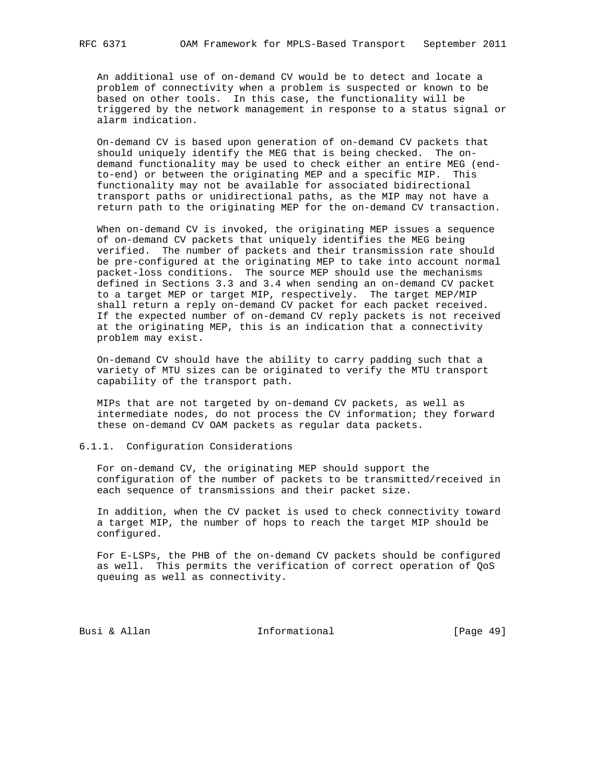An additional use of on-demand CV would be to detect and locate a problem of connectivity when a problem is suspected or known to be based on other tools. In this case, the functionality will be triggered by the network management in response to a status signal or alarm indication.

 On-demand CV is based upon generation of on-demand CV packets that should uniquely identify the MEG that is being checked. The on demand functionality may be used to check either an entire MEG (end to-end) or between the originating MEP and a specific MIP. This functionality may not be available for associated bidirectional transport paths or unidirectional paths, as the MIP may not have a return path to the originating MEP for the on-demand CV transaction.

 When on-demand CV is invoked, the originating MEP issues a sequence of on-demand CV packets that uniquely identifies the MEG being verified. The number of packets and their transmission rate should be pre-configured at the originating MEP to take into account normal packet-loss conditions. The source MEP should use the mechanisms defined in Sections 3.3 and 3.4 when sending an on-demand CV packet to a target MEP or target MIP, respectively. The target MEP/MIP shall return a reply on-demand CV packet for each packet received. If the expected number of on-demand CV reply packets is not received at the originating MEP, this is an indication that a connectivity problem may exist.

 On-demand CV should have the ability to carry padding such that a variety of MTU sizes can be originated to verify the MTU transport capability of the transport path.

 MIPs that are not targeted by on-demand CV packets, as well as intermediate nodes, do not process the CV information; they forward these on-demand CV OAM packets as regular data packets.

## 6.1.1. Configuration Considerations

 For on-demand CV, the originating MEP should support the configuration of the number of packets to be transmitted/received in each sequence of transmissions and their packet size.

 In addition, when the CV packet is used to check connectivity toward a target MIP, the number of hops to reach the target MIP should be configured.

 For E-LSPs, the PHB of the on-demand CV packets should be configured as well. This permits the verification of correct operation of QoS queuing as well as connectivity.

Busi & Allan **Informational** [Page 49]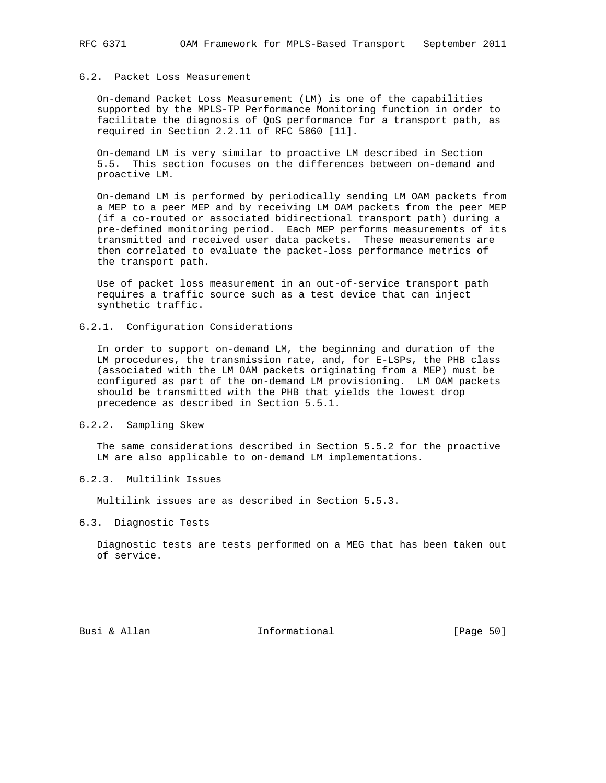## 6.2. Packet Loss Measurement

 On-demand Packet Loss Measurement (LM) is one of the capabilities supported by the MPLS-TP Performance Monitoring function in order to facilitate the diagnosis of QoS performance for a transport path, as required in Section 2.2.11 of RFC 5860 [11].

 On-demand LM is very similar to proactive LM described in Section 5.5. This section focuses on the differences between on-demand and proactive LM.

 On-demand LM is performed by periodically sending LM OAM packets from a MEP to a peer MEP and by receiving LM OAM packets from the peer MEP (if a co-routed or associated bidirectional transport path) during a pre-defined monitoring period. Each MEP performs measurements of its transmitted and received user data packets. These measurements are then correlated to evaluate the packet-loss performance metrics of the transport path.

 Use of packet loss measurement in an out-of-service transport path requires a traffic source such as a test device that can inject synthetic traffic.

### 6.2.1. Configuration Considerations

 In order to support on-demand LM, the beginning and duration of the LM procedures, the transmission rate, and, for E-LSPs, the PHB class (associated with the LM OAM packets originating from a MEP) must be configured as part of the on-demand LM provisioning. LM OAM packets should be transmitted with the PHB that yields the lowest drop precedence as described in Section 5.5.1.

## 6.2.2. Sampling Skew

 The same considerations described in Section 5.5.2 for the proactive LM are also applicable to on-demand LM implementations.

### 6.2.3. Multilink Issues

Multilink issues are as described in Section 5.5.3.

#### 6.3. Diagnostic Tests

 Diagnostic tests are tests performed on a MEG that has been taken out of service.

Busi & Allan  $Informational$  [Page 50]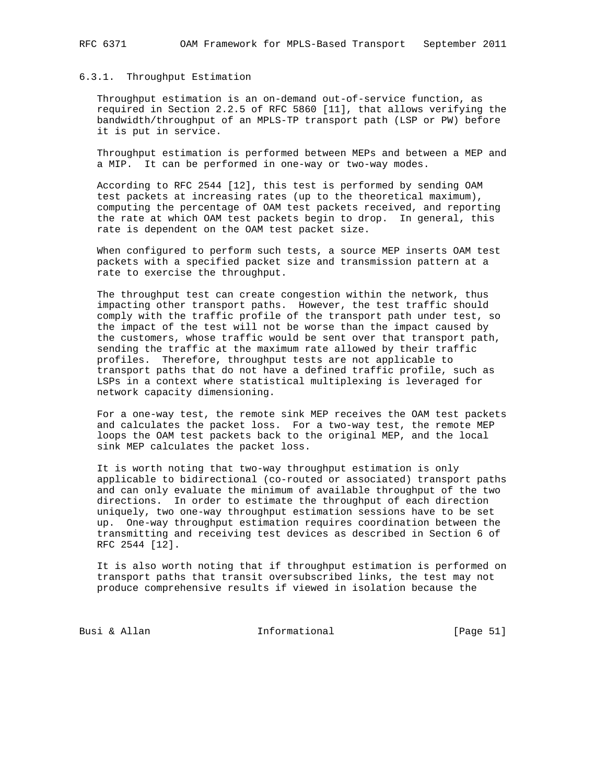# 6.3.1. Throughput Estimation

 Throughput estimation is an on-demand out-of-service function, as required in Section 2.2.5 of RFC 5860 [11], that allows verifying the bandwidth/throughput of an MPLS-TP transport path (LSP or PW) before it is put in service.

 Throughput estimation is performed between MEPs and between a MEP and a MIP. It can be performed in one-way or two-way modes.

 According to RFC 2544 [12], this test is performed by sending OAM test packets at increasing rates (up to the theoretical maximum), computing the percentage of OAM test packets received, and reporting the rate at which OAM test packets begin to drop. In general, this rate is dependent on the OAM test packet size.

 When configured to perform such tests, a source MEP inserts OAM test packets with a specified packet size and transmission pattern at a rate to exercise the throughput.

 The throughput test can create congestion within the network, thus impacting other transport paths. However, the test traffic should comply with the traffic profile of the transport path under test, so the impact of the test will not be worse than the impact caused by the customers, whose traffic would be sent over that transport path, sending the traffic at the maximum rate allowed by their traffic profiles. Therefore, throughput tests are not applicable to transport paths that do not have a defined traffic profile, such as LSPs in a context where statistical multiplexing is leveraged for network capacity dimensioning.

 For a one-way test, the remote sink MEP receives the OAM test packets and calculates the packet loss. For a two-way test, the remote MEP loops the OAM test packets back to the original MEP, and the local sink MEP calculates the packet loss.

 It is worth noting that two-way throughput estimation is only applicable to bidirectional (co-routed or associated) transport paths and can only evaluate the minimum of available throughput of the two directions. In order to estimate the throughput of each direction uniquely, two one-way throughput estimation sessions have to be set up. One-way throughput estimation requires coordination between the transmitting and receiving test devices as described in Section 6 of RFC 2544 [12].

 It is also worth noting that if throughput estimation is performed on transport paths that transit oversubscribed links, the test may not produce comprehensive results if viewed in isolation because the

Busi & Allan  $I_n$  Informational [Page 51]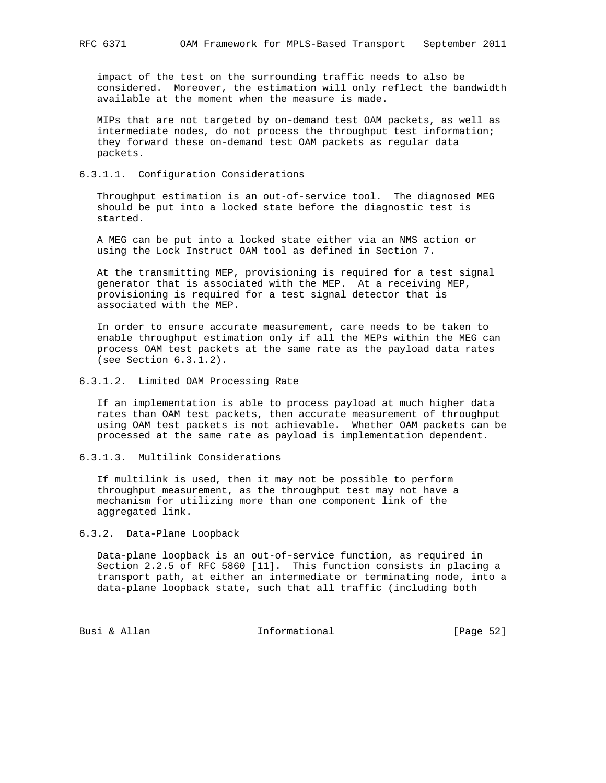impact of the test on the surrounding traffic needs to also be considered. Moreover, the estimation will only reflect the bandwidth available at the moment when the measure is made.

 MIPs that are not targeted by on-demand test OAM packets, as well as intermediate nodes, do not process the throughput test information; they forward these on-demand test OAM packets as regular data packets.

## 6.3.1.1. Configuration Considerations

 Throughput estimation is an out-of-service tool. The diagnosed MEG should be put into a locked state before the diagnostic test is started.

 A MEG can be put into a locked state either via an NMS action or using the Lock Instruct OAM tool as defined in Section 7.

 At the transmitting MEP, provisioning is required for a test signal generator that is associated with the MEP. At a receiving MEP, provisioning is required for a test signal detector that is associated with the MEP.

 In order to ensure accurate measurement, care needs to be taken to enable throughput estimation only if all the MEPs within the MEG can process OAM test packets at the same rate as the payload data rates (see Section 6.3.1.2).

### 6.3.1.2. Limited OAM Processing Rate

 If an implementation is able to process payload at much higher data rates than OAM test packets, then accurate measurement of throughput using OAM test packets is not achievable. Whether OAM packets can be processed at the same rate as payload is implementation dependent.

#### 6.3.1.3. Multilink Considerations

 If multilink is used, then it may not be possible to perform throughput measurement, as the throughput test may not have a mechanism for utilizing more than one component link of the aggregated link.

#### 6.3.2. Data-Plane Loopback

 Data-plane loopback is an out-of-service function, as required in Section 2.2.5 of RFC 5860 [11]. This function consists in placing a transport path, at either an intermediate or terminating node, into a data-plane loopback state, such that all traffic (including both

Busi & Allan  $I_n$  Informational [Page 52]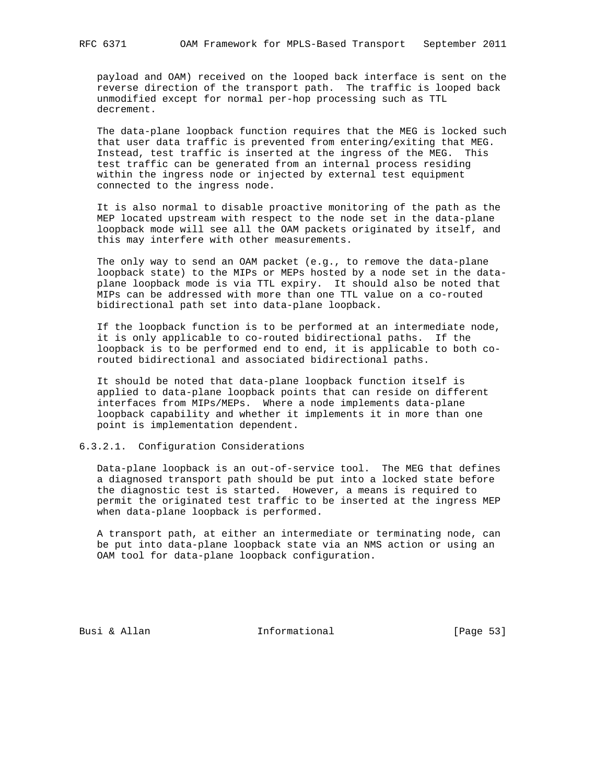payload and OAM) received on the looped back interface is sent on the reverse direction of the transport path. The traffic is looped back unmodified except for normal per-hop processing such as TTL decrement.

 The data-plane loopback function requires that the MEG is locked such that user data traffic is prevented from entering/exiting that MEG. Instead, test traffic is inserted at the ingress of the MEG. This test traffic can be generated from an internal process residing within the ingress node or injected by external test equipment connected to the ingress node.

 It is also normal to disable proactive monitoring of the path as the MEP located upstream with respect to the node set in the data-plane loopback mode will see all the OAM packets originated by itself, and this may interfere with other measurements.

 The only way to send an OAM packet (e.g., to remove the data-plane loopback state) to the MIPs or MEPs hosted by a node set in the data plane loopback mode is via TTL expiry. It should also be noted that MIPs can be addressed with more than one TTL value on a co-routed bidirectional path set into data-plane loopback.

 If the loopback function is to be performed at an intermediate node, it is only applicable to co-routed bidirectional paths. If the loopback is to be performed end to end, it is applicable to both co routed bidirectional and associated bidirectional paths.

 It should be noted that data-plane loopback function itself is applied to data-plane loopback points that can reside on different interfaces from MIPs/MEPs. Where a node implements data-plane loopback capability and whether it implements it in more than one point is implementation dependent.

## 6.3.2.1. Configuration Considerations

 Data-plane loopback is an out-of-service tool. The MEG that defines a diagnosed transport path should be put into a locked state before the diagnostic test is started. However, a means is required to permit the originated test traffic to be inserted at the ingress MEP when data-plane loopback is performed.

 A transport path, at either an intermediate or terminating node, can be put into data-plane loopback state via an NMS action or using an OAM tool for data-plane loopback configuration.

Busi & Allan **Informational** [Page 53]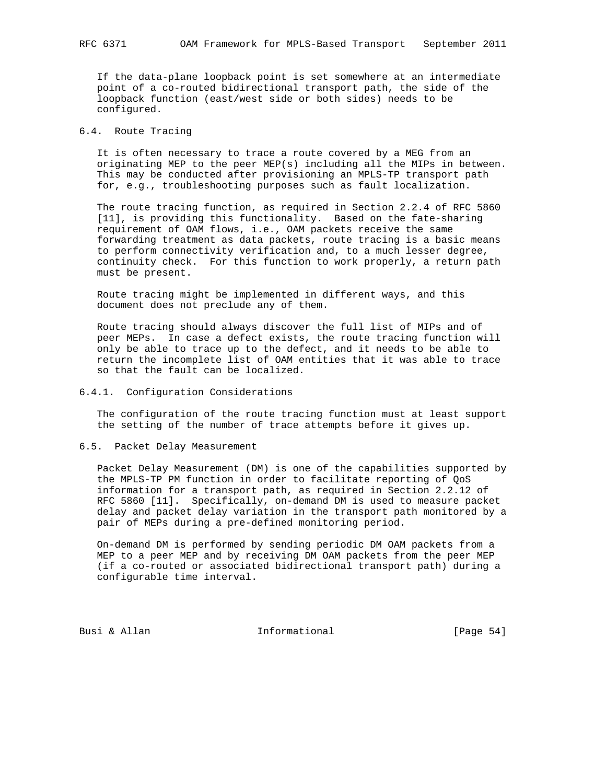If the data-plane loopback point is set somewhere at an intermediate point of a co-routed bidirectional transport path, the side of the loopback function (east/west side or both sides) needs to be configured.

# 6.4. Route Tracing

 It is often necessary to trace a route covered by a MEG from an originating MEP to the peer MEP(s) including all the MIPs in between. This may be conducted after provisioning an MPLS-TP transport path for, e.g., troubleshooting purposes such as fault localization.

 The route tracing function, as required in Section 2.2.4 of RFC 5860 [11], is providing this functionality. Based on the fate-sharing requirement of OAM flows, i.e., OAM packets receive the same forwarding treatment as data packets, route tracing is a basic means to perform connectivity verification and, to a much lesser degree, continuity check. For this function to work properly, a return path must be present.

 Route tracing might be implemented in different ways, and this document does not preclude any of them.

 Route tracing should always discover the full list of MIPs and of peer MEPs. In case a defect exists, the route tracing function will only be able to trace up to the defect, and it needs to be able to return the incomplete list of OAM entities that it was able to trace so that the fault can be localized.

### 6.4.1. Configuration Considerations

 The configuration of the route tracing function must at least support the setting of the number of trace attempts before it gives up.

#### 6.5. Packet Delay Measurement

 Packet Delay Measurement (DM) is one of the capabilities supported by the MPLS-TP PM function in order to facilitate reporting of QoS information for a transport path, as required in Section 2.2.12 of RFC 5860 [11]. Specifically, on-demand DM is used to measure packet delay and packet delay variation in the transport path monitored by a pair of MEPs during a pre-defined monitoring period.

 On-demand DM is performed by sending periodic DM OAM packets from a MEP to a peer MEP and by receiving DM OAM packets from the peer MEP (if a co-routed or associated bidirectional transport path) during a configurable time interval.

Busi & Allan **Informational** [Page 54]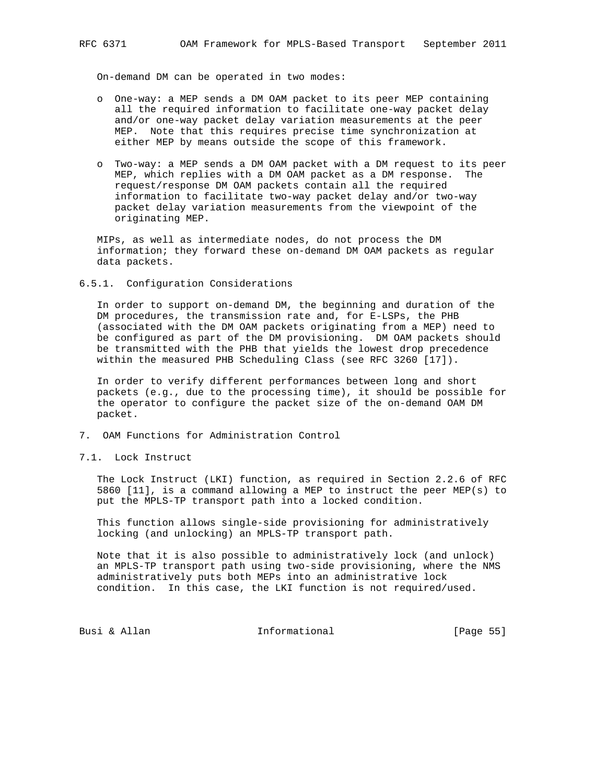On-demand DM can be operated in two modes:

- o One-way: a MEP sends a DM OAM packet to its peer MEP containing all the required information to facilitate one-way packet delay and/or one-way packet delay variation measurements at the peer MEP. Note that this requires precise time synchronization at either MEP by means outside the scope of this framework.
- o Two-way: a MEP sends a DM OAM packet with a DM request to its peer MEP, which replies with a DM OAM packet as a DM response. The request/response DM OAM packets contain all the required information to facilitate two-way packet delay and/or two-way packet delay variation measurements from the viewpoint of the originating MEP.

 MIPs, as well as intermediate nodes, do not process the DM information; they forward these on-demand DM OAM packets as regular data packets.

6.5.1. Configuration Considerations

 In order to support on-demand DM, the beginning and duration of the DM procedures, the transmission rate and, for E-LSPs, the PHB (associated with the DM OAM packets originating from a MEP) need to be configured as part of the DM provisioning. DM OAM packets should be transmitted with the PHB that yields the lowest drop precedence within the measured PHB Scheduling Class (see RFC 3260 [17]).

 In order to verify different performances between long and short packets (e.g., due to the processing time), it should be possible for the operator to configure the packet size of the on-demand OAM DM packet.

7. OAM Functions for Administration Control

7.1. Lock Instruct

 The Lock Instruct (LKI) function, as required in Section 2.2.6 of RFC 5860 [11], is a command allowing a MEP to instruct the peer MEP(s) to put the MPLS-TP transport path into a locked condition.

 This function allows single-side provisioning for administratively locking (and unlocking) an MPLS-TP transport path.

 Note that it is also possible to administratively lock (and unlock) an MPLS-TP transport path using two-side provisioning, where the NMS administratively puts both MEPs into an administrative lock condition. In this case, the LKI function is not required/used.

Busi & Allan  $I_n$  Informational [Page 55]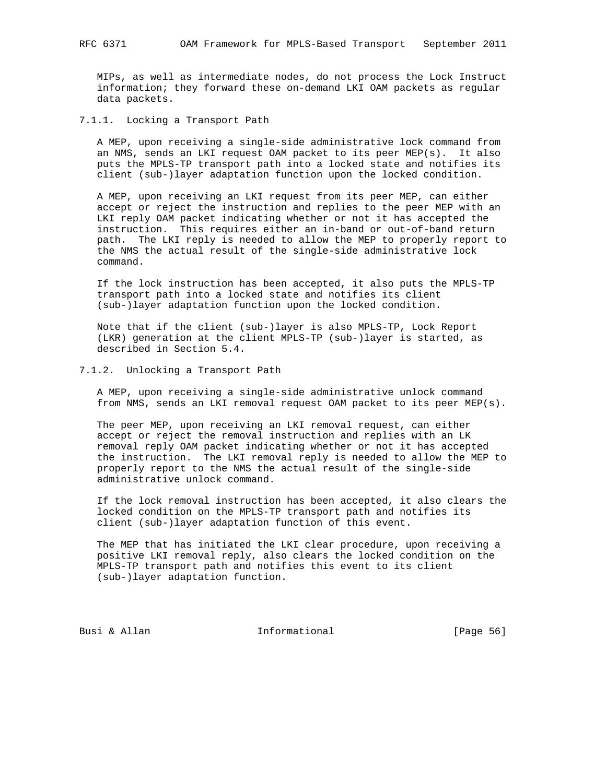MIPs, as well as intermediate nodes, do not process the Lock Instruct information; they forward these on-demand LKI OAM packets as regular data packets.

7.1.1. Locking a Transport Path

 A MEP, upon receiving a single-side administrative lock command from an NMS, sends an LKI request OAM packet to its peer MEP(s). It also puts the MPLS-TP transport path into a locked state and notifies its client (sub-)layer adaptation function upon the locked condition.

 A MEP, upon receiving an LKI request from its peer MEP, can either accept or reject the instruction and replies to the peer MEP with an LKI reply OAM packet indicating whether or not it has accepted the instruction. This requires either an in-band or out-of-band return path. The LKI reply is needed to allow the MEP to properly report to the NMS the actual result of the single-side administrative lock command.

 If the lock instruction has been accepted, it also puts the MPLS-TP transport path into a locked state and notifies its client (sub-)layer adaptation function upon the locked condition.

 Note that if the client (sub-)layer is also MPLS-TP, Lock Report (LKR) generation at the client MPLS-TP (sub-)layer is started, as described in Section 5.4.

7.1.2. Unlocking a Transport Path

 A MEP, upon receiving a single-side administrative unlock command from NMS, sends an LKI removal request OAM packet to its peer MEP(s).

 The peer MEP, upon receiving an LKI removal request, can either accept or reject the removal instruction and replies with an LK removal reply OAM packet indicating whether or not it has accepted the instruction. The LKI removal reply is needed to allow the MEP to properly report to the NMS the actual result of the single-side administrative unlock command.

 If the lock removal instruction has been accepted, it also clears the locked condition on the MPLS-TP transport path and notifies its client (sub-)layer adaptation function of this event.

 The MEP that has initiated the LKI clear procedure, upon receiving a positive LKI removal reply, also clears the locked condition on the MPLS-TP transport path and notifies this event to its client (sub-)layer adaptation function.

Busi & Allan **Informational** [Page 56]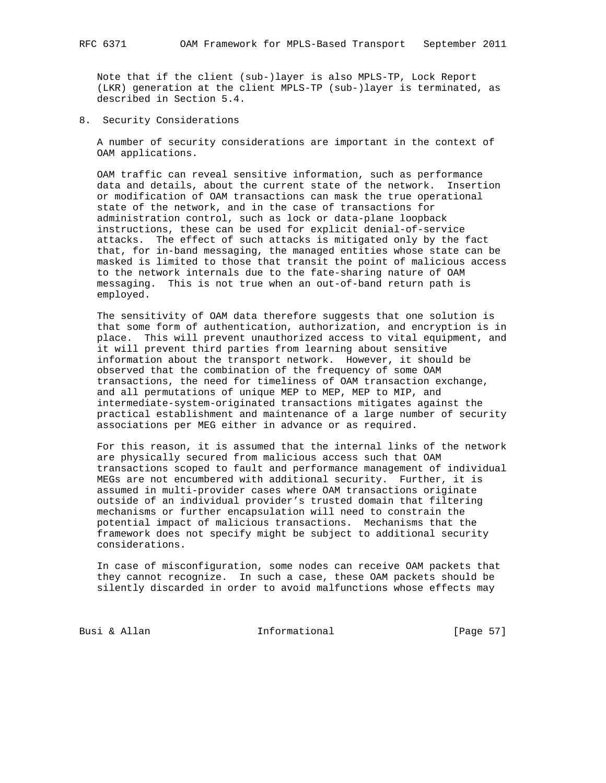Note that if the client (sub-)layer is also MPLS-TP, Lock Report (LKR) generation at the client MPLS-TP (sub-)layer is terminated, as described in Section 5.4.

8. Security Considerations

 A number of security considerations are important in the context of OAM applications.

 OAM traffic can reveal sensitive information, such as performance data and details, about the current state of the network. Insertion or modification of OAM transactions can mask the true operational state of the network, and in the case of transactions for administration control, such as lock or data-plane loopback instructions, these can be used for explicit denial-of-service attacks. The effect of such attacks is mitigated only by the fact that, for in-band messaging, the managed entities whose state can be masked is limited to those that transit the point of malicious access to the network internals due to the fate-sharing nature of OAM messaging. This is not true when an out-of-band return path is employed.

 The sensitivity of OAM data therefore suggests that one solution is that some form of authentication, authorization, and encryption is in place. This will prevent unauthorized access to vital equipment, and it will prevent third parties from learning about sensitive information about the transport network. However, it should be observed that the combination of the frequency of some OAM transactions, the need for timeliness of OAM transaction exchange, and all permutations of unique MEP to MEP, MEP to MIP, and intermediate-system-originated transactions mitigates against the practical establishment and maintenance of a large number of security associations per MEG either in advance or as required.

 For this reason, it is assumed that the internal links of the network are physically secured from malicious access such that OAM transactions scoped to fault and performance management of individual MEGs are not encumbered with additional security. Further, it is assumed in multi-provider cases where OAM transactions originate outside of an individual provider's trusted domain that filtering mechanisms or further encapsulation will need to constrain the potential impact of malicious transactions. Mechanisms that the framework does not specify might be subject to additional security considerations.

 In case of misconfiguration, some nodes can receive OAM packets that they cannot recognize. In such a case, these OAM packets should be silently discarded in order to avoid malfunctions whose effects may

Busi & Allan  $I_n$  Informational [Page 57]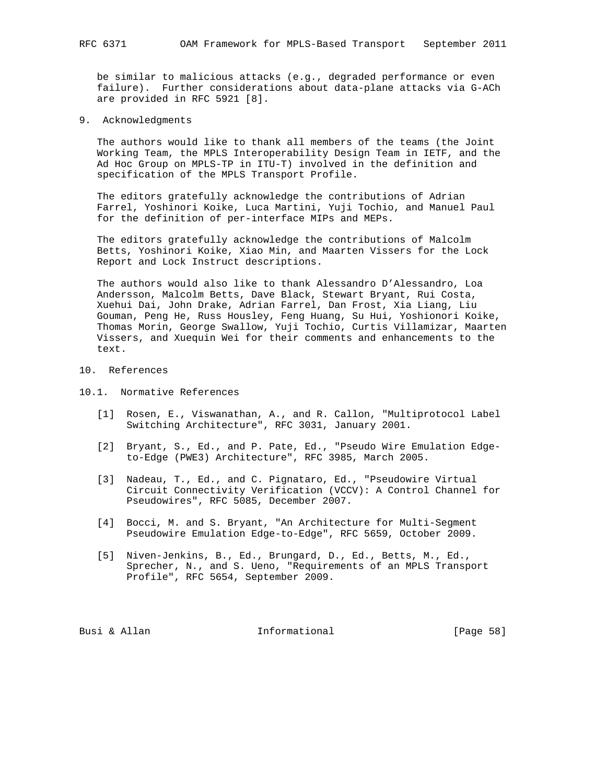be similar to malicious attacks (e.g., degraded performance or even failure). Further considerations about data-plane attacks via G-ACh are provided in RFC 5921 [8].

9. Acknowledgments

 The authors would like to thank all members of the teams (the Joint Working Team, the MPLS Interoperability Design Team in IETF, and the Ad Hoc Group on MPLS-TP in ITU-T) involved in the definition and specification of the MPLS Transport Profile.

 The editors gratefully acknowledge the contributions of Adrian Farrel, Yoshinori Koike, Luca Martini, Yuji Tochio, and Manuel Paul for the definition of per-interface MIPs and MEPs.

 The editors gratefully acknowledge the contributions of Malcolm Betts, Yoshinori Koike, Xiao Min, and Maarten Vissers for the Lock Report and Lock Instruct descriptions.

 The authors would also like to thank Alessandro D'Alessandro, Loa Andersson, Malcolm Betts, Dave Black, Stewart Bryant, Rui Costa, Xuehui Dai, John Drake, Adrian Farrel, Dan Frost, Xia Liang, Liu Gouman, Peng He, Russ Housley, Feng Huang, Su Hui, Yoshionori Koike, Thomas Morin, George Swallow, Yuji Tochio, Curtis Villamizar, Maarten Vissers, and Xuequin Wei for their comments and enhancements to the text.

- 10. References
- 10.1. Normative References
	- [1] Rosen, E., Viswanathan, A., and R. Callon, "Multiprotocol Label Switching Architecture", RFC 3031, January 2001.
	- [2] Bryant, S., Ed., and P. Pate, Ed., "Pseudo Wire Emulation Edge to-Edge (PWE3) Architecture", RFC 3985, March 2005.
	- [3] Nadeau, T., Ed., and C. Pignataro, Ed., "Pseudowire Virtual Circuit Connectivity Verification (VCCV): A Control Channel for Pseudowires", RFC 5085, December 2007.
	- [4] Bocci, M. and S. Bryant, "An Architecture for Multi-Segment Pseudowire Emulation Edge-to-Edge", RFC 5659, October 2009.
	- [5] Niven-Jenkins, B., Ed., Brungard, D., Ed., Betts, M., Ed., Sprecher, N., and S. Ueno, "Requirements of an MPLS Transport Profile", RFC 5654, September 2009.

Busi & Allan **Informational** [Page 58]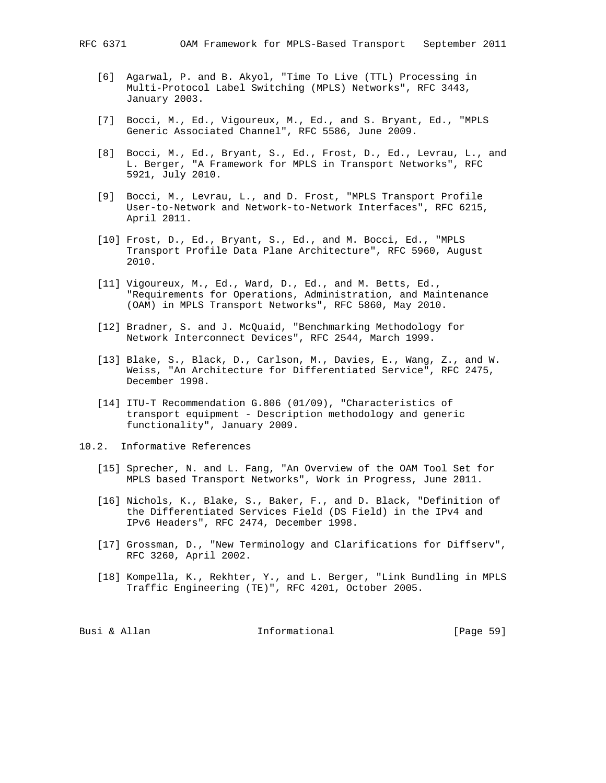- [6] Agarwal, P. and B. Akyol, "Time To Live (TTL) Processing in Multi-Protocol Label Switching (MPLS) Networks", RFC 3443, January 2003.
- [7] Bocci, M., Ed., Vigoureux, M., Ed., and S. Bryant, Ed., "MPLS Generic Associated Channel", RFC 5586, June 2009.
- [8] Bocci, M., Ed., Bryant, S., Ed., Frost, D., Ed., Levrau, L., and L. Berger, "A Framework for MPLS in Transport Networks", RFC 5921, July 2010.
- [9] Bocci, M., Levrau, L., and D. Frost, "MPLS Transport Profile User-to-Network and Network-to-Network Interfaces", RFC 6215, April 2011.
- [10] Frost, D., Ed., Bryant, S., Ed., and M. Bocci, Ed., "MPLS Transport Profile Data Plane Architecture", RFC 5960, August 2010.
- [11] Vigoureux, M., Ed., Ward, D., Ed., and M. Betts, Ed., "Requirements for Operations, Administration, and Maintenance (OAM) in MPLS Transport Networks", RFC 5860, May 2010.
- [12] Bradner, S. and J. McQuaid, "Benchmarking Methodology for Network Interconnect Devices", RFC 2544, March 1999.
- [13] Blake, S., Black, D., Carlson, M., Davies, E., Wang, Z., and W. Weiss, "An Architecture for Differentiated Service", RFC 2475, December 1998.
- [14] ITU-T Recommendation G.806 (01/09), "Characteristics of transport equipment - Description methodology and generic functionality", January 2009.
- 10.2. Informative References
	- [15] Sprecher, N. and L. Fang, "An Overview of the OAM Tool Set for MPLS based Transport Networks", Work in Progress, June 2011.
	- [16] Nichols, K., Blake, S., Baker, F., and D. Black, "Definition of the Differentiated Services Field (DS Field) in the IPv4 and IPv6 Headers", RFC 2474, December 1998.
	- [17] Grossman, D., "New Terminology and Clarifications for Diffserv", RFC 3260, April 2002.
	- [18] Kompella, K., Rekhter, Y., and L. Berger, "Link Bundling in MPLS Traffic Engineering (TE)", RFC 4201, October 2005.

Busi & Allan  $I_n$  Informational [Page 59]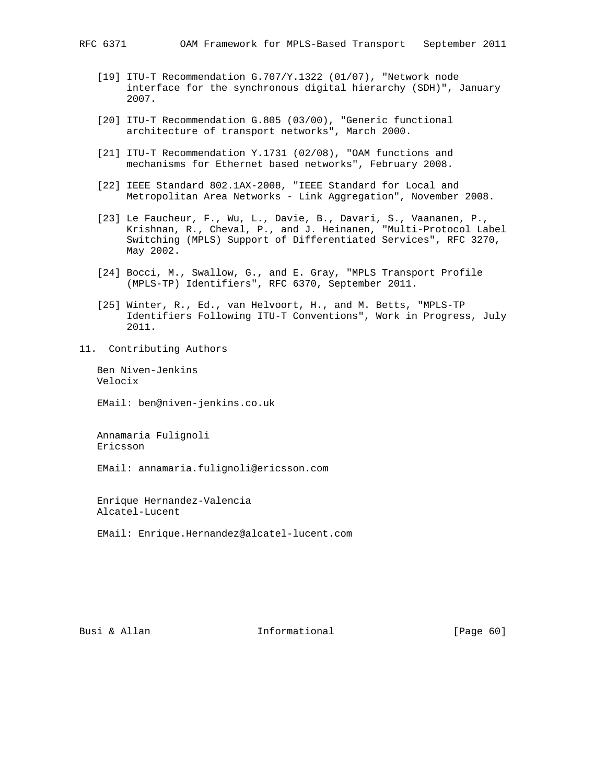- [19] ITU-T Recommendation G.707/Y.1322 (01/07), "Network node interface for the synchronous digital hierarchy (SDH)", January 2007.
- [20] ITU-T Recommendation G.805 (03/00), "Generic functional architecture of transport networks", March 2000.
- [21] ITU-T Recommendation Y.1731 (02/08), "OAM functions and mechanisms for Ethernet based networks", February 2008.
- [22] IEEE Standard 802.1AX-2008, "IEEE Standard for Local and Metropolitan Area Networks - Link Aggregation", November 2008.
- [23] Le Faucheur, F., Wu, L., Davie, B., Davari, S., Vaananen, P., Krishnan, R., Cheval, P., and J. Heinanen, "Multi-Protocol Label Switching (MPLS) Support of Differentiated Services", RFC 3270, May 2002.
- [24] Bocci, M., Swallow, G., and E. Gray, "MPLS Transport Profile (MPLS-TP) Identifiers", RFC 6370, September 2011.
- [25] Winter, R., Ed., van Helvoort, H., and M. Betts, "MPLS-TP Identifiers Following ITU-T Conventions", Work in Progress, July 2011.
- 11. Contributing Authors

 Ben Niven-Jenkins Velocix

EMail: ben@niven-jenkins.co.uk

 Annamaria Fulignoli Ericsson

EMail: annamaria.fulignoli@ericsson.com

 Enrique Hernandez-Valencia Alcatel-Lucent

EMail: Enrique.Hernandez@alcatel-lucent.com

Busi & Allan  $I_n$  Informational [Page 60]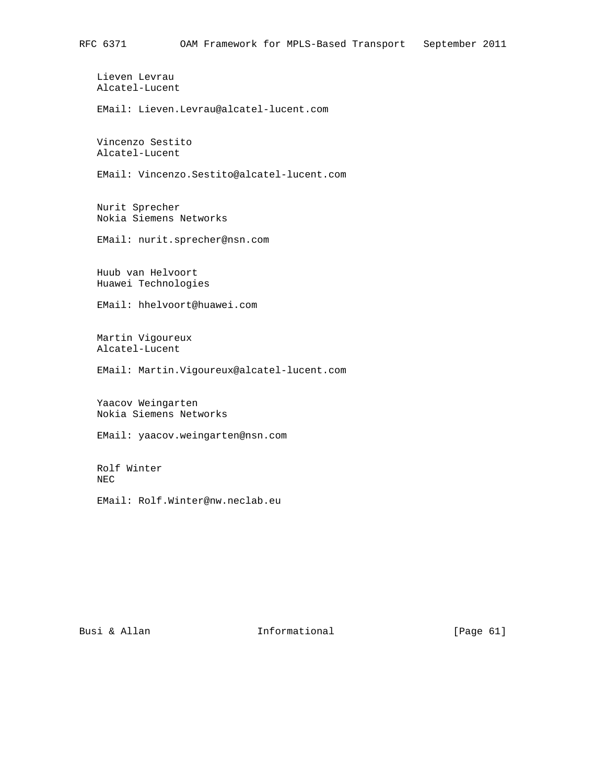Lieven Levrau Alcatel-Lucent EMail: Lieven.Levrau@alcatel-lucent.com Vincenzo Sestito Alcatel-Lucent EMail: Vincenzo.Sestito@alcatel-lucent.com Nurit Sprecher Nokia Siemens Networks EMail: nurit.sprecher@nsn.com Huub van Helvoort Huawei Technologies EMail: hhelvoort@huawei.com Martin Vigoureux Alcatel-Lucent EMail: Martin.Vigoureux@alcatel-lucent.com Yaacov Weingarten Nokia Siemens Networks EMail: yaacov.weingarten@nsn.com Rolf Winter NEC EMail: Rolf.Winter@nw.neclab.eu

Busi & Allan **Informational** [Page 61]